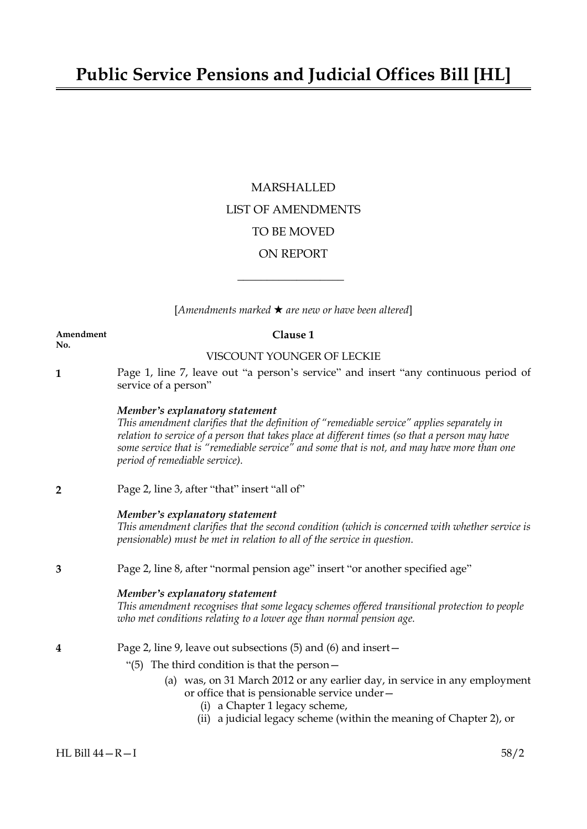# MARSHALLED LIST OF AMENDMENTS TO BE MOVED ON REPORT

[*Amendments marked* \* *are new or have been altered*]

 $\overline{\phantom{a}}$  , where  $\overline{\phantom{a}}$ 

#### **Amendment Clause 1 No.**

### VISCOUNT YOUNGER OF LECKIE

**1** Page 1, line 7, leave out "a person's service" and insert "any continuous period of service of a person"

### *Member's explanatory statement*

*This amendment clarifies that the definition of "remediable service" applies separately in relation to service of a person that takes place at different times (so that a person may have some service that is "remediable service" and some that is not, and may have more than one period of remediable service).*

**2** Page 2, line 3, after "that" insert "all of"

### *Member's explanatory statement*

*This amendment clarifies that the second condition (which is concerned with whether service is pensionable) must be met in relation to all of the service in question.*

**3** Page 2, line 8, after "normal pension age" insert "or another specified age"

### *Member's explanatory statement*

*This amendment recognises that some legacy schemes offered transitional protection to people who met conditions relating to a lower age than normal pension age.*

### **4** Page 2, line 9, leave out subsections (5) and (6) and insert—

- "(5) The third condition is that the person—
	- (a) was, on 31 March 2012 or any earlier day, in service in any employment or office that is pensionable service under—
		- (i) a Chapter 1 legacy scheme,
		- (ii) a judicial legacy scheme (within the meaning of Chapter 2), or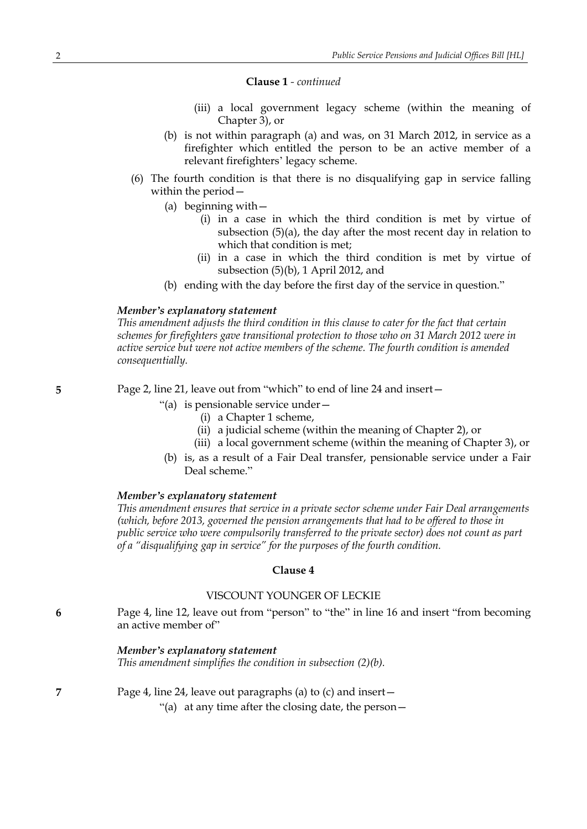#### **Clause 1** *- continued*

- (iii) a local government legacy scheme (within the meaning of Chapter 3), or
- (b) is not within paragraph (a) and was, on 31 March 2012, in service as a firefighter which entitled the person to be an active member of a relevant firefighters' legacy scheme.
- (6) The fourth condition is that there is no disqualifying gap in service falling within the period—
	- (a) beginning with—
		- (i) in a case in which the third condition is met by virtue of subsection (5)(a), the day after the most recent day in relation to which that condition is met;
		- (ii) in a case in which the third condition is met by virtue of subsection (5)(b), 1 April 2012, and
	- (b) ending with the day before the first day of the service in question."

#### *Member's explanatory statement*

*This amendment adjusts the third condition in this clause to cater for the fact that certain schemes for firefighters gave transitional protection to those who on 31 March 2012 were in active service but were not active members of the scheme. The fourth condition is amended consequentially.*

**5** Page 2, line 21, leave out from "which" to end of line 24 and insert—

- "(a) is pensionable service under—
	- (i) a Chapter 1 scheme,
	- (ii) a judicial scheme (within the meaning of Chapter 2), or
	- (iii) a local government scheme (within the meaning of Chapter 3), or
- (b) is, as a result of a Fair Deal transfer, pensionable service under a Fair Deal scheme"

#### *Member's explanatory statement*

*This amendment ensures that service in a private sector scheme under Fair Deal arrangements (which, before 2013, governed the pension arrangements that had to be offered to those in public service who were compulsorily transferred to the private sector) does not count as part of a "disqualifying gap in service" for the purposes of the fourth condition.*

### **Clause 4**

### VISCOUNT YOUNGER OF LECKIE

**6** Page 4, line 12, leave out from "person" to "the" in line 16 and insert "from becoming an active member of"

#### *Member's explanatory statement*

*This amendment simplifies the condition in subsection (2)(b).*

**7** Page 4, line 24, leave out paragraphs (a) to (c) and insert—

"(a) at any time after the closing date, the person—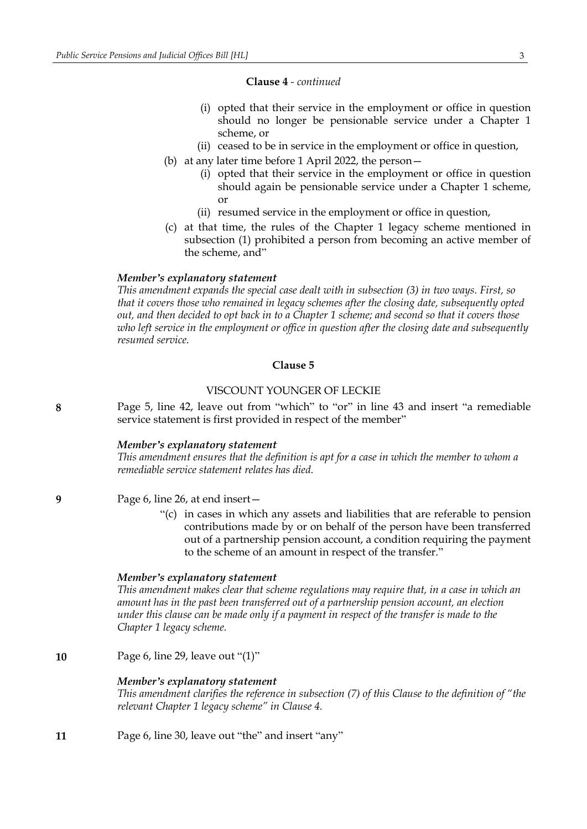#### **Clause 4** *- continued*

- (i) opted that their service in the employment or office in question should no longer be pensionable service under a Chapter 1 scheme, or
- (ii) ceased to be in service in the employment or office in question,
- (b) at any later time before 1 April 2022, the person—
	- (i) opted that their service in the employment or office in question should again be pensionable service under a Chapter 1 scheme, or
	- (ii) resumed service in the employment or office in question,
- (c) at that time, the rules of the Chapter 1 legacy scheme mentioned in subsection (1) prohibited a person from becoming an active member of the scheme, and"

### *Member's explanatory statement*

*This amendment expands the special case dealt with in subsection (3) in two ways. First, so that it covers those who remained in legacy schemes after the closing date, subsequently opted* out, and then decided to opt back in to a Chapter 1 scheme; and second so that it covers those *who left service in the employment or office in question after the closing date and subsequently resumed service.*

### **Clause 5**

#### VISCOUNT YOUNGER OF LECKIE

**8** Page 5, line 42, leave out from "which" to "or" in line 43 and insert "a remediable service statement is first provided in respect of the member"

#### *Member's explanatory statement*

*This amendment ensures that the definition is apt for a case in which the member to whom a remediable service statement relates has died.*

#### **9** Page 6, line 26, at end insert—

"(c) in cases in which any assets and liabilities that are referable to pension contributions made by or on behalf of the person have been transferred out of a partnership pension account, a condition requiring the payment to the scheme of an amount in respect of the transfer."

#### *Member's explanatory statement*

*This amendment makes clear that scheme regulations may require that, in a case in which an amount has in the past been transferred out of a partnership pension account, an election under this clause can be made only if a payment in respect of the transfer is made to the Chapter 1 legacy scheme.*

**10** Page 6, line 29, leave out "(1)"

#### *Member's explanatory statement*

*This amendment clarifies the reference in subsection (7) of this Clause to the definition of "the relevant Chapter 1 legacy scheme" in Clause 4.*

**11** Page 6, line 30, leave out "the" and insert "any"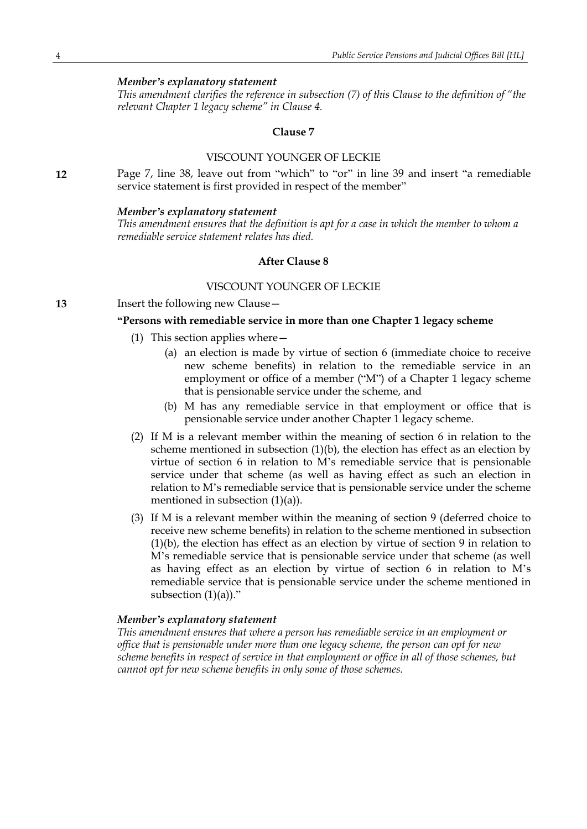*This amendment clarifies the reference in subsection (7) of this Clause to the definition of "the relevant Chapter 1 legacy scheme" in Clause 4.*

#### **Clause 7**

#### VISCOUNT YOUNGER OF LECKIE

**12** Page 7, line 38, leave out from "which" to "or" in line 39 and insert "a remediable service statement is first provided in respect of the member"

#### *Member's explanatory statement*

*This amendment ensures that the definition is apt for a case in which the member to whom a remediable service statement relates has died.*

#### **After Clause 8**

#### VISCOUNT YOUNGER OF LECKIE

**13** Insert the following new Clause—

#### **"Persons with remediable service in more than one Chapter 1 legacy scheme**

- (1) This section applies where—
	- (a) an election is made by virtue of section 6 (immediate choice to receive new scheme benefits) in relation to the remediable service in an employment or office of a member ("M") of a Chapter 1 legacy scheme that is pensionable service under the scheme, and
	- (b) M has any remediable service in that employment or office that is pensionable service under another Chapter 1 legacy scheme.
- (2) If M is a relevant member within the meaning of section 6 in relation to the scheme mentioned in subsection  $(1)(b)$ , the election has effect as an election by virtue of section 6 in relation to M's remediable service that is pensionable service under that scheme (as well as having effect as such an election in relation to M's remediable service that is pensionable service under the scheme mentioned in subsection (1)(a)).
- (3) If M is a relevant member within the meaning of section 9 (deferred choice to receive new scheme benefits) in relation to the scheme mentioned in subsection (1)(b), the election has effect as an election by virtue of section 9 in relation to M's remediable service that is pensionable service under that scheme (as well as having effect as an election by virtue of section 6 in relation to M's remediable service that is pensionable service under the scheme mentioned in subsection  $(1)(a)$ ."

### *Member's explanatory statement*

*This amendment ensures that where a person has remediable service in an employment or office that is pensionable under more than one legacy scheme, the person can opt for new scheme benefits in respect of service in that employment or office in all of those schemes, but cannot opt for new scheme benefits in only some of those schemes.*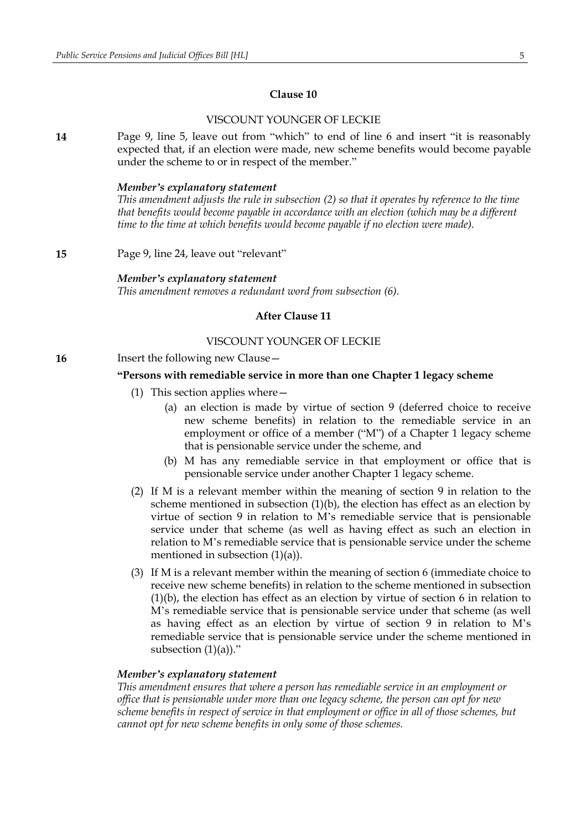### VISCOUNT YOUNGER OF LECKIE

**14** Page 9, line 5, leave out from "which" to end of line 6 and insert "it is reasonably expected that, if an election were made, new scheme benefits would become payable under the scheme to or in respect of the member."

#### *Member's explanatory statement*

*This amendment adjusts the rule in subsection (2) so that it operates by reference to the time that benefits would become payable in accordance with an election (which may be a different time to the time at which benefits would become payable if no election were made).*

**15** Page 9, line 24, leave out "relevant"

*Member's explanatory statement This amendment removes a redundant word from subsection (6).*

#### **After Clause 11**

### VISCOUNT YOUNGER OF LECKIE

**16** Insert the following new Clause -

#### **"Persons with remediable service in more than one Chapter 1 legacy scheme**

- (1) This section applies where—
	- (a) an election is made by virtue of section 9 (deferred choice to receive new scheme benefits) in relation to the remediable service in an employment or office of a member ("M") of a Chapter 1 legacy scheme that is pensionable service under the scheme, and
	- (b) M has any remediable service in that employment or office that is pensionable service under another Chapter 1 legacy scheme.
- (2) If M is a relevant member within the meaning of section 9 in relation to the scheme mentioned in subsection  $(1)(b)$ , the election has effect as an election by virtue of section 9 in relation to M's remediable service that is pensionable service under that scheme (as well as having effect as such an election in relation to M's remediable service that is pensionable service under the scheme mentioned in subsection (1)(a)).
- (3) If M is a relevant member within the meaning of section 6 (immediate choice to receive new scheme benefits) in relation to the scheme mentioned in subsection (1)(b), the election has effect as an election by virtue of section 6 in relation to M's remediable service that is pensionable service under that scheme (as well as having effect as an election by virtue of section 9 in relation to M's remediable service that is pensionable service under the scheme mentioned in subsection  $(1)(a)$ ."

#### *Member's explanatory statement*

*This amendment ensures that where a person has remediable service in an employment or office that is pensionable under more than one legacy scheme, the person can opt for new scheme benefits in respect of service in that employment or office in all of those schemes, but cannot opt for new scheme benefits in only some of those schemes.*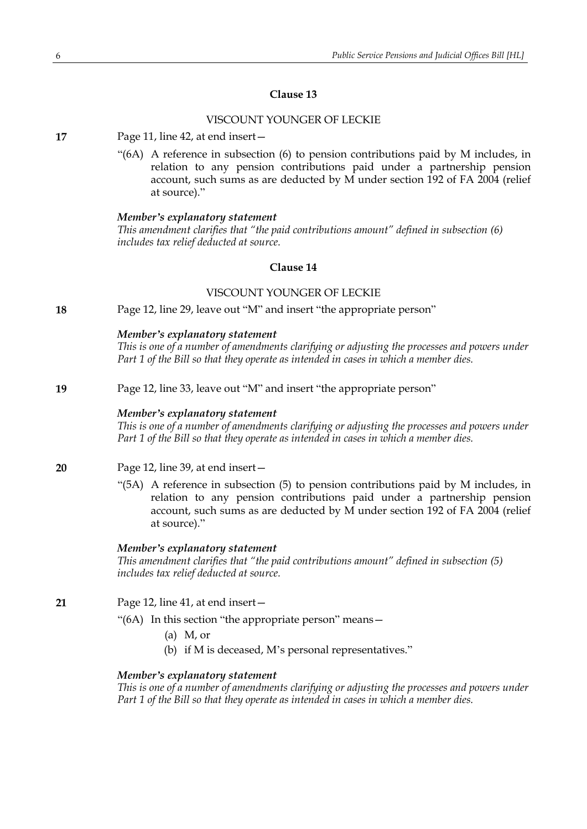### VISCOUNT YOUNGER OF LECKIE

**17** Page 11, line 42, at end insert—

"(6A) A reference in subsection (6) to pension contributions paid by M includes, in relation to any pension contributions paid under a partnership pension account, such sums as are deducted by M under section 192 of FA 2004 (relief at source)."

#### *Member's explanatory statement*

*This amendment clarifies that "the paid contributions amount" defined in subsection (6) includes tax relief deducted at source.*

### **Clause 14**

#### VISCOUNT YOUNGER OF LECKIE

**18** Page 12, line 29, leave out "M" and insert "the appropriate person"

#### *Member's explanatory statement*

*This is one of a number of amendments clarifying or adjusting the processes and powers under Part 1 of the Bill so that they operate as intended in cases in which a member dies.*

#### **19** Page 12, line 33, leave out "M" and insert "the appropriate person"

#### *Member's explanatory statement*

*This is one of a number of amendments clarifying or adjusting the processes and powers under Part 1 of the Bill so that they operate as intended in cases in which a member dies.*

- **20** Page 12, line 39, at end insert—
	- "(5A) A reference in subsection (5) to pension contributions paid by M includes, in relation to any pension contributions paid under a partnership pension account, such sums as are deducted by M under section 192 of FA 2004 (relief at source)."

#### *Member's explanatory statement*

*This amendment clarifies that "the paid contributions amount" defined in subsection (5) includes tax relief deducted at source.*

- **21** Page 12, line 41, at end insert—
	- "(6A) In this section "the appropriate person" means—
		- (a) M, or
		- (b) if M is deceased, M's personal representatives."

### *Member's explanatory statement*

*This is one of a number of amendments clarifying or adjusting the processes and powers under Part 1 of the Bill so that they operate as intended in cases in which a member dies.*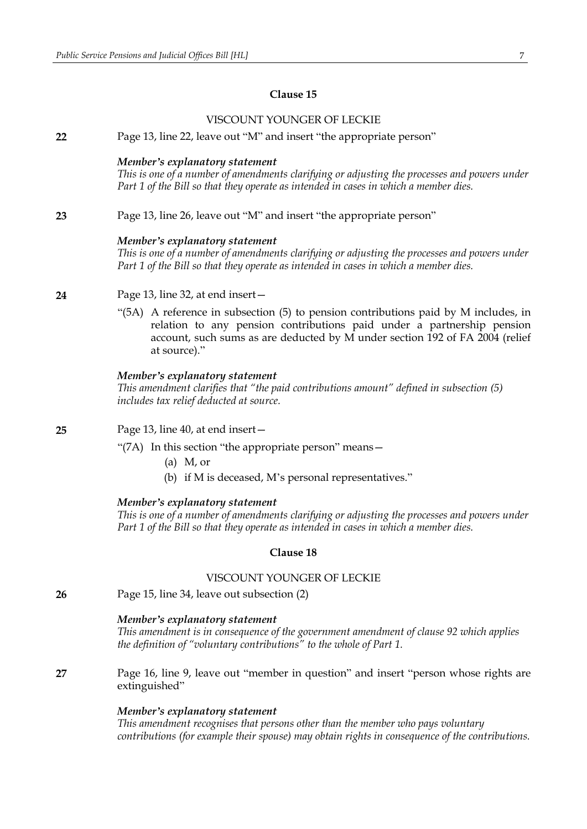|    | VISCOUNT YOUNGER OF LECKIE                                                                                                                                                                                                                                    |
|----|---------------------------------------------------------------------------------------------------------------------------------------------------------------------------------------------------------------------------------------------------------------|
| 22 | Page 13, line 22, leave out "M" and insert "the appropriate person"                                                                                                                                                                                           |
|    | Member's explanatory statement<br>This is one of a number of amendments clarifying or adjusting the processes and powers under<br>Part 1 of the Bill so that they operate as intended in cases in which a member dies.                                        |
| 23 | Page 13, line 26, leave out "M" and insert "the appropriate person"                                                                                                                                                                                           |
|    | Member's explanatory statement<br>This is one of a number of amendments clarifying or adjusting the processes and powers under<br>Part 1 of the Bill so that they operate as intended in cases in which a member dies.                                        |
| 24 | Page 13, line 32, at end insert -                                                                                                                                                                                                                             |
|    | "(5A) A reference in subsection (5) to pension contributions paid by M includes, in<br>relation to any pension contributions paid under a partnership pension<br>account, such sums as are deducted by M under section 192 of FA 2004 (relief<br>at source)." |
|    | Member's explanatory statement<br>This amendment clarifies that "the paid contributions amount" defined in subsection (5)<br>includes tax relief deducted at source.                                                                                          |
| 25 | Page 13, line 40, at end insert -                                                                                                                                                                                                                             |
|    | "(7A) In this section "the appropriate person" means -                                                                                                                                                                                                        |
|    | $(a)$ M, or                                                                                                                                                                                                                                                   |
|    | (b) if M is deceased, M's personal representatives."                                                                                                                                                                                                          |
|    | Member's explanatory statement<br>This is one of a number of amendments clarifying or adjusting the processes and powers under<br>Part 1 of the Bill so that they operate as intended in cases in which a member dies.                                        |
|    | Clause 18                                                                                                                                                                                                                                                     |
|    | VISCOUNT YOUNGER OF LECKIE                                                                                                                                                                                                                                    |
| 26 | Page 15, line 34, leave out subsection (2)                                                                                                                                                                                                                    |
|    | Member's explanatory statement<br>This amendment is in consequence of the government amendment of clause 92 which applies<br>the definition of "voluntary contributions" to the whole of Part 1.                                                              |
| 27 | Page 16, line 9, leave out "member in question" and insert "person whose rights are<br>extinguished"                                                                                                                                                          |
|    | Member's explanatory statement<br>This amendment recognises that persons other than the member who pays voluntary<br>contributions (for example their spouse) may obtain rights in consequence of the contributions.                                          |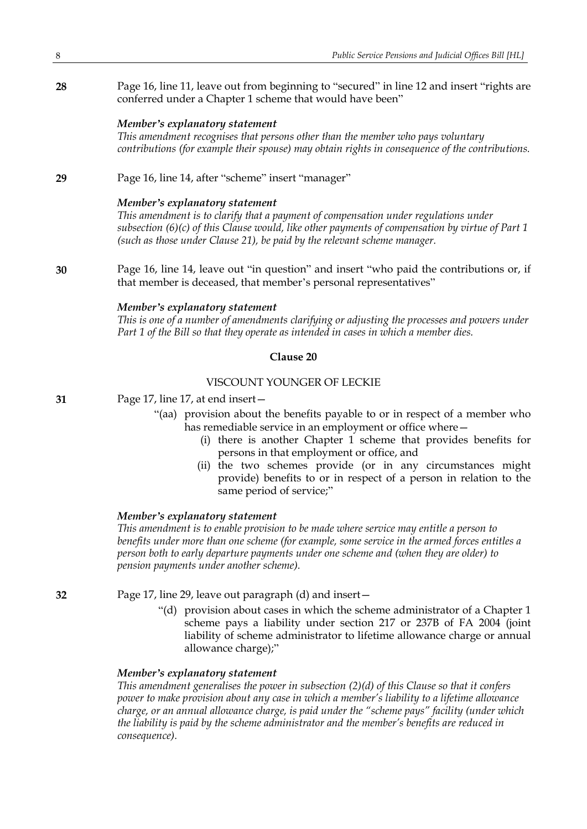**28** Page 16, line 11, leave out from beginning to "secured" in line 12 and insert "rights are conferred under a Chapter 1 scheme that would have been"

#### *Member's explanatory statement*

*This amendment recognises that persons other than the member who pays voluntary contributions (for example their spouse) may obtain rights in consequence of the contributions.*

**29** Page 16, line 14, after "scheme" insert "manager"

#### *Member's explanatory statement*

*This amendment is to clarify that a payment of compensation under regulations under subsection (6)(c) of this Clause would, like other payments of compensation by virtue of Part 1 (such as those under Clause 21), be paid by the relevant scheme manager.*

**30** Page 16, line 14, leave out "in question" and insert "who paid the contributions or, if that member is deceased, that member's personal representatives"

### *Member's explanatory statement*

*This is one of a number of amendments clarifying or adjusting the processes and powers under Part 1 of the Bill so that they operate as intended in cases in which a member dies.*

### **Clause 20**

### VISCOUNT YOUNGER OF LECKIE

**31** Page 17, line 17, at end insert—

- "(aa) provision about the benefits payable to or in respect of a member who has remediable service in an employment or office where -
	- (i) there is another Chapter 1 scheme that provides benefits for persons in that employment or office, and
	- (ii) the two schemes provide (or in any circumstances might provide) benefits to or in respect of a person in relation to the same period of service;"

#### *Member's explanatory statement*

*This amendment is to enable provision to be made where service may entitle a person to benefits under more than one scheme (for example, some service in the armed forces entitles a person both to early departure payments under one scheme and (when they are older) to pension payments under another scheme).*

**32** Page 17, line 29, leave out paragraph (d) and insert—

"(d) provision about cases in which the scheme administrator of a Chapter 1 scheme pays a liability under section 217 or 237B of FA 2004 (joint liability of scheme administrator to lifetime allowance charge or annual allowance charge);"

### *Member's explanatory statement*

*This amendment generalises the power in subsection (2)(d) of this Clause so that it confers power to make provision about any case in which a member's liability to a lifetime allowance charge, or an annual allowance charge, is paid under the "scheme pays" facility (under which the liability is paid by the scheme administrator and the member's benefits are reduced in consequence).*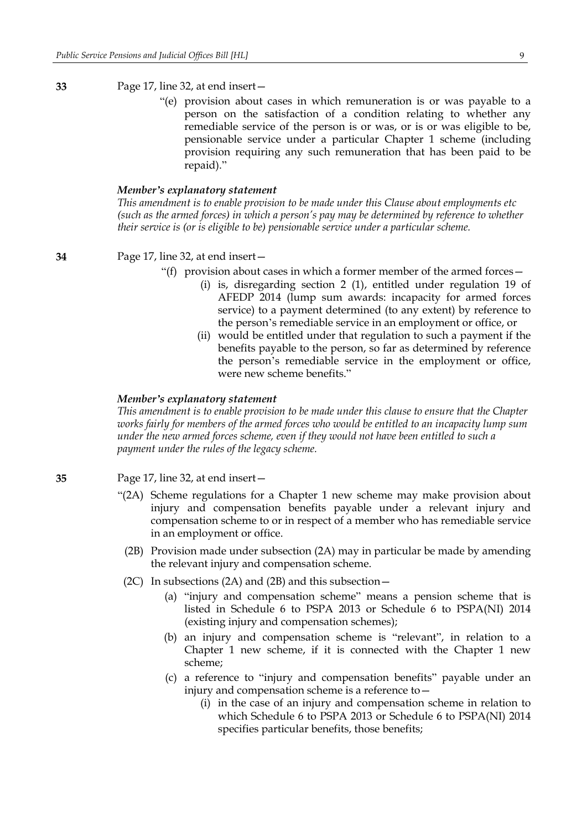### **33** Page 17, line 32, at end insert—

"(e) provision about cases in which remuneration is or was payable to a person on the satisfaction of a condition relating to whether any remediable service of the person is or was, or is or was eligible to be, pensionable service under a particular Chapter 1 scheme (including provision requiring any such remuneration that has been paid to be repaid)."

### *Member's explanatory statement*

*This amendment is to enable provision to be made under this Clause about employments etc (such as the armed forces) in which a person's pay may be determined by reference to whether their service is (or is eligible to be) pensionable service under a particular scheme.*

**34** Page 17, line 32, at end insert—

- "(f) provision about cases in which a former member of the armed forces  $-$ 
	- (i) is, disregarding section 2 (1), entitled under regulation 19 of AFEDP 2014 (lump sum awards: incapacity for armed forces service) to a payment determined (to any extent) by reference to the person's remediable service in an employment or office, or
	- (ii) would be entitled under that regulation to such a payment if the benefits payable to the person, so far as determined by reference the person's remediable service in the employment or office, were new scheme benefits"

#### *Member's explanatory statement*

*This amendment is to enable provision to be made under this clause to ensure that the Chapter works fairly for members of the armed forces who would be entitled to an incapacity lump sum under the new armed forces scheme, even if they would not have been entitled to such a payment under the rules of the legacy scheme.*

**35** Page 17, line 32, at end insert—

- "(2A) Scheme regulations for a Chapter 1 new scheme may make provision about injury and compensation benefits payable under a relevant injury and compensation scheme to or in respect of a member who has remediable service in an employment or office.
	- (2B) Provision made under subsection (2A) may in particular be made by amending the relevant injury and compensation scheme.
	- (2C) In subsections (2A) and (2B) and this subsection  $-$ 
		- (a) "injury and compensation scheme" means a pension scheme that is listed in Schedule 6 to PSPA 2013 or Schedule 6 to PSPA(NI) 2014 (existing injury and compensation schemes);
		- (b) an injury and compensation scheme is "relevant", in relation to a Chapter 1 new scheme, if it is connected with the Chapter 1 new scheme;
		- (c) a reference to "injury and compensation benefits" payable under an injury and compensation scheme is a reference to—
			- (i) in the case of an injury and compensation scheme in relation to which Schedule 6 to PSPA 2013 or Schedule 6 to PSPA(NI) 2014 specifies particular benefits, those benefits;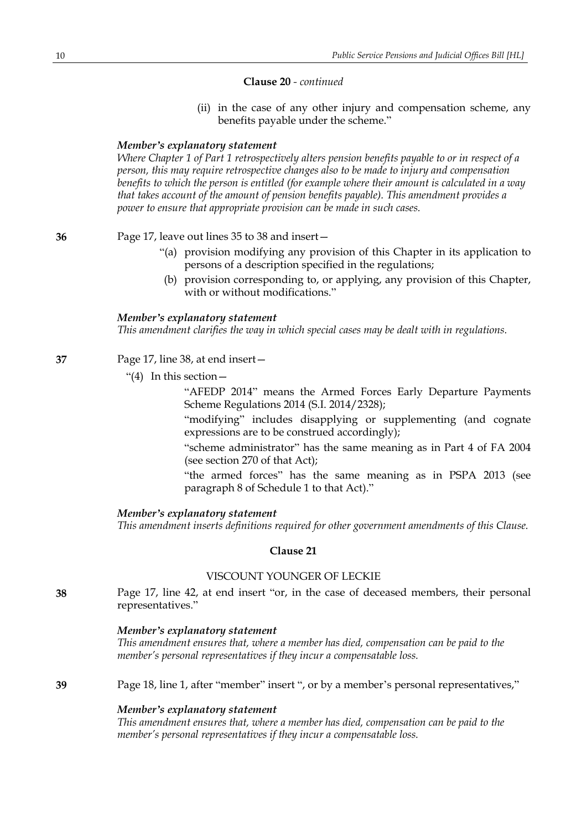#### **Clause 20** *- continued*

(ii) in the case of any other injury and compensation scheme, any benefits payable under the scheme."

#### *Member's explanatory statement*

*Where Chapter 1 of Part 1 retrospectively alters pension benefits payable to or in respect of a person, this may require retrospective changes also to be made to injury and compensation benefits to which the person is entitled (for example where their amount is calculated in a way that takes account of the amount of pension benefits payable). This amendment provides a power to ensure that appropriate provision can be made in such cases.*

### **36** Page 17, leave out lines 35 to 38 and insert—

- "(a) provision modifying any provision of this Chapter in its application to persons of a description specified in the regulations;
- (b) provision corresponding to, or applying, any provision of this Chapter, with or without modifications."

#### *Member's explanatory statement*

*This amendment clarifies the way in which special cases may be dealt with in regulations.*

- **37** Page 17, line 38, at end insert—
	- "(4) In this section—

"AFEDP 2014" means the Armed Forces Early Departure Payments Scheme Regulations 2014 (S.I. 2014/2328);

"modifying" includes disapplying or supplementing (and cognate expressions are to be construed accordingly);

"scheme administrator" has the same meaning as in Part 4 of FA 2004 (see section 270 of that Act);

"the armed forces" has the same meaning as in PSPA 2013 (see paragraph 8 of Schedule 1 to that Act)."

### *Member's explanatory statement*

*This amendment inserts definitions required for other government amendments of this Clause.*

### **Clause 21**

### VISCOUNT YOUNGER OF LECKIE

**38** Page 17, line 42, at end insert "or, in the case of deceased members, their personal representatives."

#### *Member's explanatory statement*

*This amendment ensures that, where a member has died, compensation can be paid to the member's personal representatives if they incur a compensatable loss.*

**39** Page 18, line 1, after "member" insert ", or by a member's personal representatives,"

#### *Member's explanatory statement*

*This amendment ensures that, where a member has died, compensation can be paid to the member's personal representatives if they incur a compensatable loss.*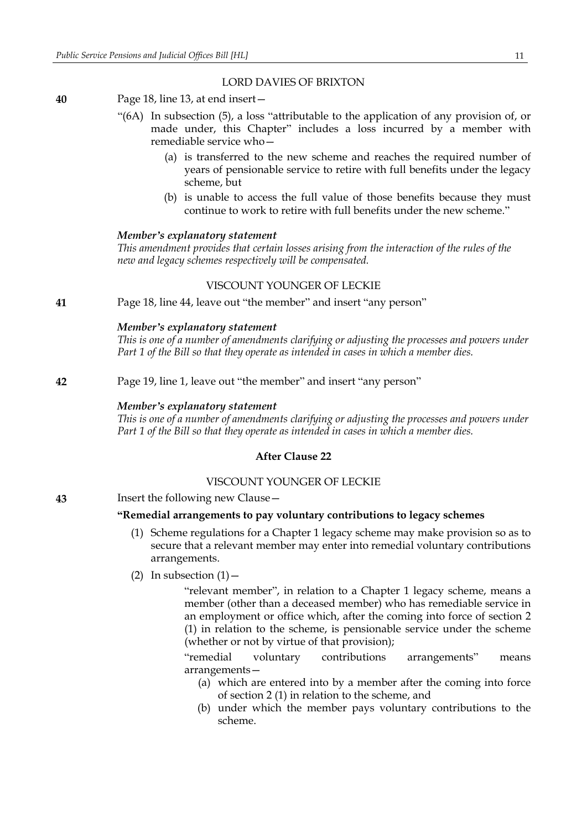#### LORD DAVIES OF BRIXTON

- **40** Page 18, line 13, at end insert—
	- "(6A) In subsection (5), a loss "attributable to the application of any provision of, or made under, this Chapter" includes a loss incurred by a member with remediable service who—
		- (a) is transferred to the new scheme and reaches the required number of years of pensionable service to retire with full benefits under the legacy scheme, but
		- (b) is unable to access the full value of those benefits because they must continue to work to retire with full benefits under the new scheme."

#### *Member's explanatory statement*

*This amendment provides that certain losses arising from the interaction of the rules of the new and legacy schemes respectively will be compensated.*

### VISCOUNT YOUNGER OF LECKIE

**41** Page 18, line 44, leave out "the member" and insert "any person"

#### *Member's explanatory statement*

*This is one of a number of amendments clarifying or adjusting the processes and powers under Part 1 of the Bill so that they operate as intended in cases in which a member dies.*

**42** Page 19, line 1, leave out "the member" and insert "any person"

#### *Member's explanatory statement*

*This is one of a number of amendments clarifying or adjusting the processes and powers under Part 1 of the Bill so that they operate as intended in cases in which a member dies.*

#### **After Clause 22**

### VISCOUNT YOUNGER OF LECKIE

**43** Insert the following new Clause—

### **"Remedial arrangements to pay voluntary contributions to legacy schemes**

- (1) Scheme regulations for a Chapter 1 legacy scheme may make provision so as to secure that a relevant member may enter into remedial voluntary contributions arrangements.
- (2) In subsection  $(1)$  –

"relevant member", in relation to a Chapter 1 legacy scheme, means a member (other than a deceased member) who has remediable service in an employment or office which, after the coming into force of section 2 (1) in relation to the scheme, is pensionable service under the scheme (whether or not by virtue of that provision);

"remedial voluntary contributions arrangements" means arrangements—

- (a) which are entered into by a member after the coming into force of section 2 (1) in relation to the scheme, and
- (b) under which the member pays voluntary contributions to the scheme.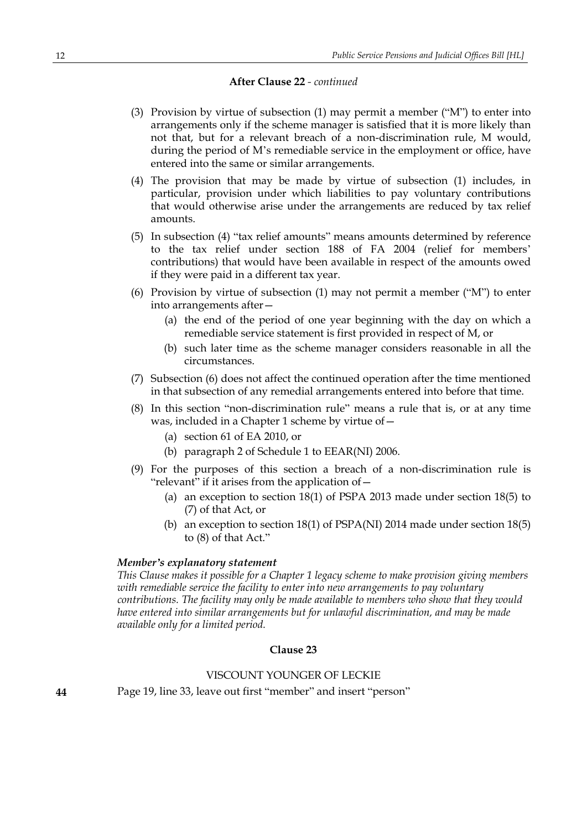### **After Clause 22** *- continued*

- (3) Provision by virtue of subsection (1) may permit a member ("M") to enter into arrangements only if the scheme manager is satisfied that it is more likely than not that, but for a relevant breach of a non-discrimination rule, M would, during the period of M's remediable service in the employment or office, have entered into the same or similar arrangements.
- (4) The provision that may be made by virtue of subsection (1) includes, in particular, provision under which liabilities to pay voluntary contributions that would otherwise arise under the arrangements are reduced by tax relief amounts.
- (5) In subsection (4) "tax relief amounts" means amounts determined by reference to the tax relief under section 188 of FA 2004 (relief for members' contributions) that would have been available in respect of the amounts owed if they were paid in a different tax year.
- (6) Provision by virtue of subsection (1) may not permit a member ("M") to enter into arrangements after—
	- (a) the end of the period of one year beginning with the day on which a remediable service statement is first provided in respect of M, or
	- (b) such later time as the scheme manager considers reasonable in all the circumstances.
- (7) Subsection (6) does not affect the continued operation after the time mentioned in that subsection of any remedial arrangements entered into before that time.
- (8) In this section "non-discrimination rule" means a rule that is, or at any time was, included in a Chapter 1 scheme by virtue of—
	- (a) section 61 of EA 2010, or
	- (b) paragraph 2 of Schedule 1 to EEAR(NI) 2006.
- (9) For the purposes of this section a breach of a non-discrimination rule is "relevant" if it arises from the application of—
	- (a) an exception to section 18(1) of PSPA 2013 made under section 18(5) to (7) of that Act, or
	- (b) an exception to section 18(1) of PSPA(NI) 2014 made under section 18(5) to (8) of that Act."

#### *Member's explanatory statement*

*This Clause makes it possible for a Chapter 1 legacy scheme to make provision giving members with remediable service the facility to enter into new arrangements to pay voluntary contributions. The facility may only be made available to members who show that they would have entered into similar arrangements but for unlawful discrimination, and may be made available only for a limited period.*

#### **Clause 23**

### VISCOUNT YOUNGER OF LECKIE

**44** Page 19, line 33, leave out first "member" and insert "person"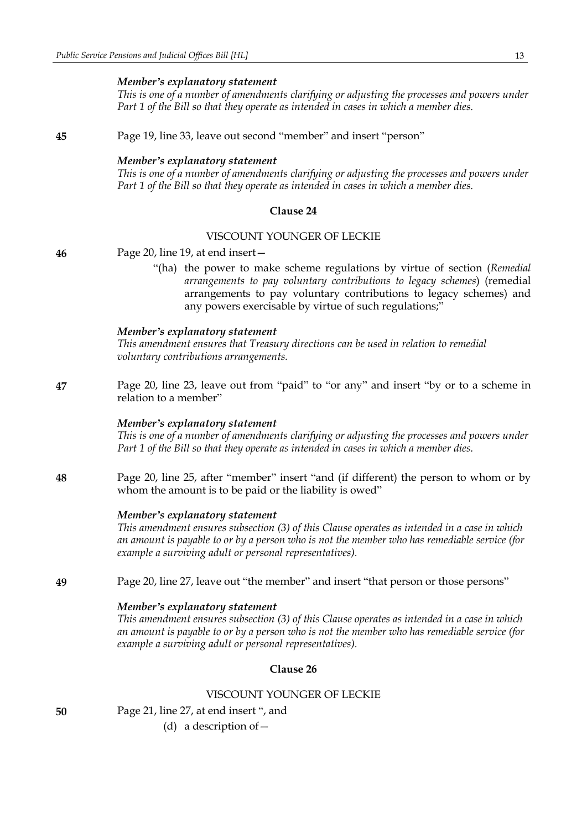*This is one of a number of amendments clarifying or adjusting the processes and powers under Part 1 of the Bill so that they operate as intended in cases in which a member dies.*

**45** Page 19, line 33, leave out second "member" and insert "person"

### *Member's explanatory statement*

*This is one of a number of amendments clarifying or adjusting the processes and powers under Part 1 of the Bill so that they operate as intended in cases in which a member dies.*

### **Clause 24**

### VISCOUNT YOUNGER OF LECKIE

**46** Page 20, line 19, at end insert—

"(ha) the power to make scheme regulations by virtue of section (*Remedial arrangements to pay voluntary contributions to legacy schemes*) (remedial arrangements to pay voluntary contributions to legacy schemes) and any powers exercisable by virtue of such regulations;"

#### *Member's explanatory statement*

*This amendment ensures that Treasury directions can be used in relation to remedial voluntary contributions arrangements.*

**47** Page 20, line 23, leave out from "paid" to "or any" and insert "by or to a scheme in relation to a member"

#### *Member's explanatory statement*

*This is one of a number of amendments clarifying or adjusting the processes and powers under Part 1 of the Bill so that they operate as intended in cases in which a member dies.*

**48** Page 20, line 25, after "member" insert "and (if different) the person to whom or by whom the amount is to be paid or the liability is owed"

#### *Member's explanatory statement*

*This amendment ensures subsection (3) of this Clause operates as intended in a case in which* an amount is payable to or by a person who is not the member who has remediable service (for *example a surviving adult or personal representatives).*

**49** Page 20, line 27, leave out "the member" and insert "that person or those persons"

#### *Member's explanatory statement*

*This amendment ensures subsection (3) of this Clause operates as intended in a case in which* an amount is payable to or by a person who is not the member who has remediable service (for *example a surviving adult or personal representatives).*

### **Clause 26**

### VISCOUNT YOUNGER OF LECKIE

**50** Page 21, line 27, at end insert ", and

(d) a description of—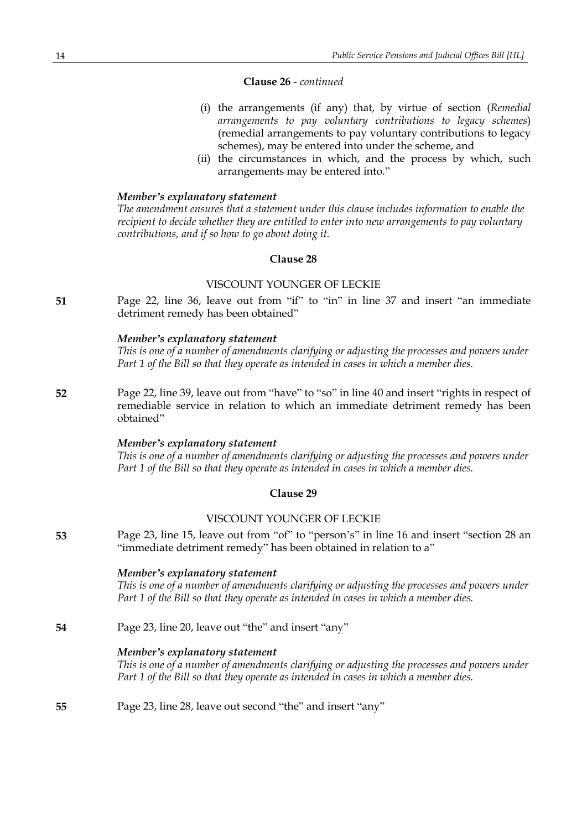#### **Clause 26** *- continued*

- (i) the arrangements (if any) that, by virtue of section (*Remedial arrangements to pay voluntary contributions to legacy schemes*) (remedial arrangements to pay voluntary contributions to legacy schemes), may be entered into under the scheme, and
- (ii) the circumstances in which, and the process by which, such arrangements may be entered into."

#### *Member's explanatory statement*

*The amendment ensures that a statement under this clause includes information to enable the recipient to decide whether they are entitled to enter into new arrangements to pay voluntary contributions, and if so how to go about doing it.*

#### **Clause 28**

#### VISCOUNT YOUNGER OF LECKIE

**51** Page 22, line 36, leave out from "if" to "in" in line 37 and insert "an immediate detriment remedy has been obtained"

#### *Member's explanatory statement*

*This is one of a number of amendments clarifying or adjusting the processes and powers under Part 1 of the Bill so that they operate as intended in cases in which a member dies.*

**52** Page 22, line 39, leave out from "have" to "so" in line 40 and insert "rights in respect of remediable service in relation to which an immediate detriment remedy has been obtained"

#### *Member's explanatory statement*

*This is one of a number of amendments clarifying or adjusting the processes and powers under Part 1 of the Bill so that they operate as intended in cases in which a member dies.*

### **Clause 29**

#### VISCOUNT YOUNGER OF LECKIE

**53** Page 23, line 15, leave out from "of" to "person's" in line 16 and insert "section 28 an "immediate detriment remedy" has been obtained in relation to a"

#### *Member's explanatory statement*

*This is one of a number of amendments clarifying or adjusting the processes and powers under Part 1 of the Bill so that they operate as intended in cases in which a member dies.*

#### **54** Page 23, line 20, leave out "the" and insert "any"

### *Member's explanatory statement*

*This is one of a number of amendments clarifying or adjusting the processes and powers under Part 1 of the Bill so that they operate as intended in cases in which a member dies.*

**55** Page 23, line 28, leave out second "the" and insert "any"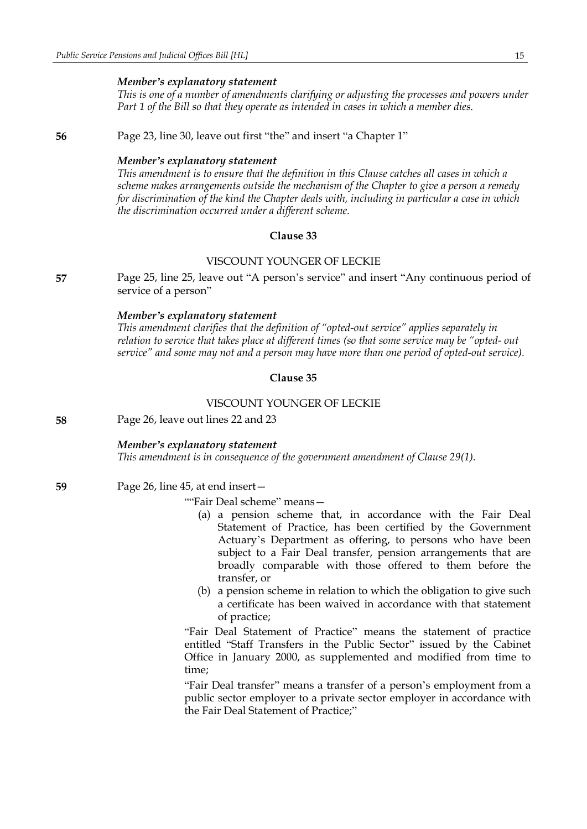*This is one of a number of amendments clarifying or adjusting the processes and powers under Part 1 of the Bill so that they operate as intended in cases in which a member dies.*

**56** Page 23, line 30, leave out first "the" and insert "a Chapter 1"

#### *Member's explanatory statement*

*This amendment is to ensure that the definition in this Clause catches all cases in which a scheme makes arrangements outside the mechanism of the Chapter to give a person a remedy for discrimination of the kind the Chapter deals with, including in particular a case in which the discrimination occurred under a different scheme.*

### **Clause 33**

### VISCOUNT YOUNGER OF LECKIE

**57** Page 25, line 25, leave out "A person's service" and insert "Any continuous period of service of a person"

#### *Member's explanatory statement*

*This amendment clarifies that the definition of "opted-out service" applies separately in relation to service that takes place at different times (so that some service may be "opted- out service" and some may not and a person may have more than one period of opted-out service).*

#### **Clause 35**

### VISCOUNT YOUNGER OF LECKIE

**58** Page 26, leave out lines 22 and 23

#### *Member's explanatory statement*

*This amendment is in consequence of the government amendment of Clause 29(1).*

**59** Page 26, line 45, at end insert—

""Fair Deal scheme" means—

- (a) a pension scheme that, in accordance with the Fair Deal Statement of Practice, has been certified by the Government Actuary's Department as offering, to persons who have been subject to a Fair Deal transfer, pension arrangements that are broadly comparable with those offered to them before the transfer, or
- (b) a pension scheme in relation to which the obligation to give such a certificate has been waived in accordance with that statement of practice;

"Fair Deal Statement of Practice" means the statement of practice entitled "Staff Transfers in the Public Sector" issued by the Cabinet Office in January 2000, as supplemented and modified from time to time;

"Fair Deal transfer" means a transfer of a person's employment from a public sector employer to a private sector employer in accordance with the Fair Deal Statement of Practice;"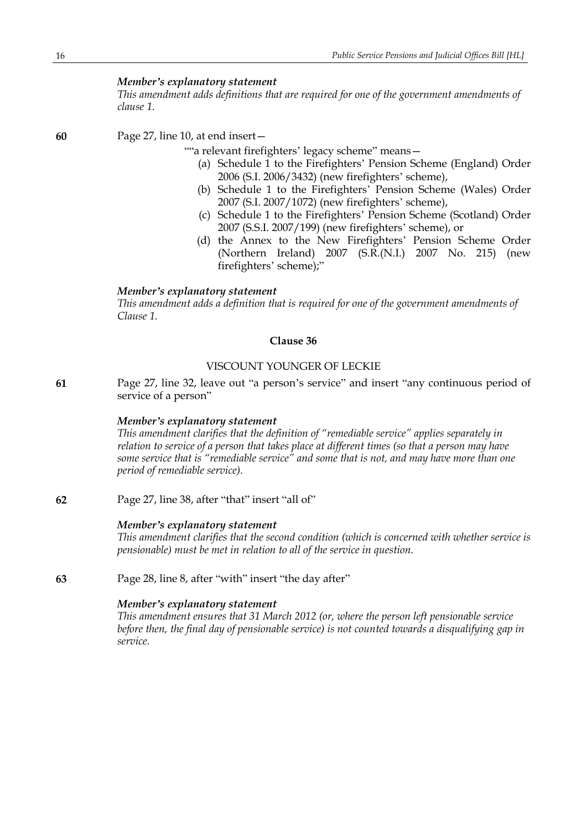*This amendment adds definitions that are required for one of the government amendments of clause 1.*

**60** Page 27, line 10, at end insert—

""a relevant firefighters' legacy scheme" means—

- (a) Schedule 1 to the Firefighters' Pension Scheme (England) Order 2006 (S.I. 2006/3432) (new firefighters' scheme),
- (b) Schedule 1 to the Firefighters' Pension Scheme (Wales) Order 2007 (S.I. 2007/1072) (new firefighters' scheme),
- (c) Schedule 1 to the Firefighters' Pension Scheme (Scotland) Order 2007 (S.S.I. 2007/199) (new firefighters' scheme), or
- (d) the Annex to the New Firefighters' Pension Scheme Order (Northern Ireland) 2007 (S.R.(N.I.) 2007 No. 215) (new firefighters' scheme);"

### *Member's explanatory statement*

*This amendment adds a definition that is required for one of the government amendments of Clause 1.*

### **Clause 36**

### VISCOUNT YOUNGER OF LECKIE

**61** Page 27, line 32, leave out "a person's service" and insert "any continuous period of service of a person"

#### *Member's explanatory statement*

*This amendment clarifies that the definition of "remediable service" applies separately in relation to service of a person that takes place at different times (so that a person may have some service that is "remediable service" and some that is not, and may have more than one period of remediable service).*

**62** Page 27, line 38, after "that" insert "all of"

#### *Member's explanatory statement*

*This amendment clarifies that the second condition (which is concerned with whether service is pensionable) must be met in relation to all of the service in question.*

**63** Page 28, line 8, after "with" insert "the day after"

#### *Member's explanatory statement*

*This amendment ensures that 31 March 2012 (or, where the person left pensionable service before then, the final day of pensionable service) is not counted towards a disqualifying gap in service.*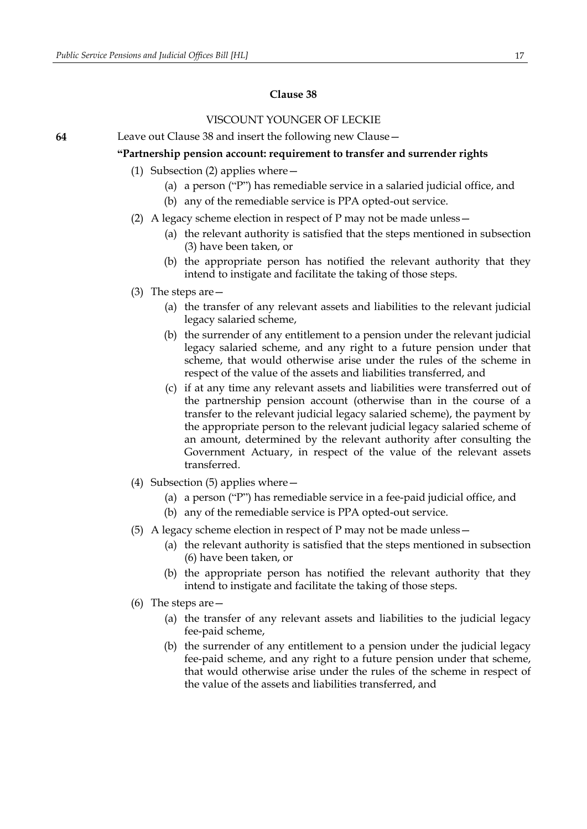### VISCOUNT YOUNGER OF LECKIE

**64** Leave out Clause 38 and insert the following new Clause—

#### **"Partnership pension account: requirement to transfer and surrender rights**

- (1) Subsection (2) applies where—
	- (a) a person ("P") has remediable service in a salaried judicial office, and
	- (b) any of the remediable service is PPA opted-out service.
- (2) A legacy scheme election in respect of P may not be made unless—
	- (a) the relevant authority is satisfied that the steps mentioned in subsection (3) have been taken, or
	- (b) the appropriate person has notified the relevant authority that they intend to instigate and facilitate the taking of those steps.
- (3) The steps are—
	- (a) the transfer of any relevant assets and liabilities to the relevant judicial legacy salaried scheme,
	- (b) the surrender of any entitlement to a pension under the relevant judicial legacy salaried scheme, and any right to a future pension under that scheme, that would otherwise arise under the rules of the scheme in respect of the value of the assets and liabilities transferred, and
	- (c) if at any time any relevant assets and liabilities were transferred out of the partnership pension account (otherwise than in the course of a transfer to the relevant judicial legacy salaried scheme), the payment by the appropriate person to the relevant judicial legacy salaried scheme of an amount, determined by the relevant authority after consulting the Government Actuary, in respect of the value of the relevant assets transferred.
- (4) Subsection (5) applies where—
	- (a) a person ("P") has remediable service in a fee-paid judicial office, and
	- (b) any of the remediable service is PPA opted-out service.
- (5) A legacy scheme election in respect of P may not be made unless—
	- (a) the relevant authority is satisfied that the steps mentioned in subsection (6) have been taken, or
	- (b) the appropriate person has notified the relevant authority that they intend to instigate and facilitate the taking of those steps.
- (6) The steps are—
	- (a) the transfer of any relevant assets and liabilities to the judicial legacy fee-paid scheme,
	- (b) the surrender of any entitlement to a pension under the judicial legacy fee-paid scheme, and any right to a future pension under that scheme, that would otherwise arise under the rules of the scheme in respect of the value of the assets and liabilities transferred, and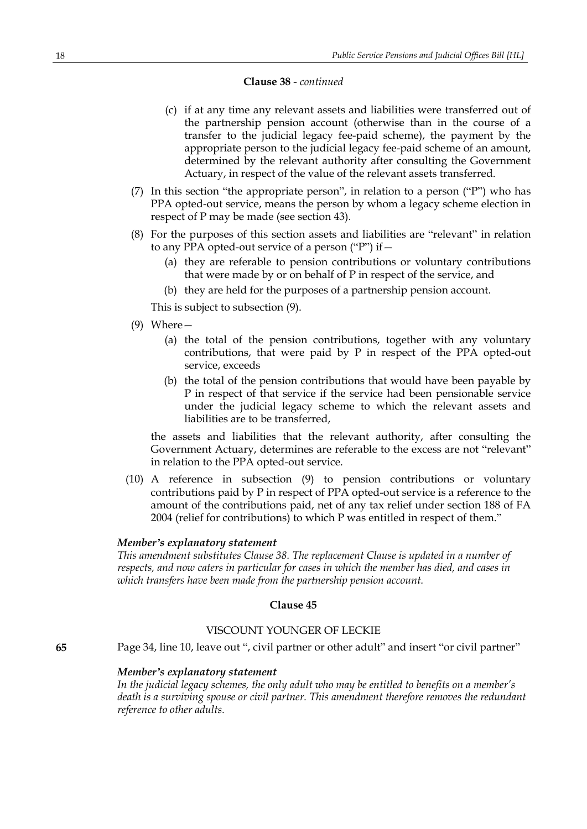#### **Clause 38** *- continued*

- (c) if at any time any relevant assets and liabilities were transferred out of the partnership pension account (otherwise than in the course of a transfer to the judicial legacy fee-paid scheme), the payment by the appropriate person to the judicial legacy fee-paid scheme of an amount, determined by the relevant authority after consulting the Government Actuary, in respect of the value of the relevant assets transferred.
- (7) In this section "the appropriate person", in relation to a person ("P") who has PPA opted-out service, means the person by whom a legacy scheme election in respect of P may be made (see section 43).
- (8) For the purposes of this section assets and liabilities are "relevant" in relation to any PPA opted-out service of a person ("P") if  $-$ 
	- (a) they are referable to pension contributions or voluntary contributions that were made by or on behalf of P in respect of the service, and
	- (b) they are held for the purposes of a partnership pension account.

This is subject to subsection (9).

- (9) Where—
	- (a) the total of the pension contributions, together with any voluntary contributions, that were paid by P in respect of the PPA opted-out service, exceeds
	- (b) the total of the pension contributions that would have been payable by P in respect of that service if the service had been pensionable service under the judicial legacy scheme to which the relevant assets and liabilities are to be transferred,

the assets and liabilities that the relevant authority, after consulting the Government Actuary, determines are referable to the excess are not "relevant" in relation to the PPA opted-out service.

(10) A reference in subsection (9) to pension contributions or voluntary contributions paid by P in respect of PPA opted-out service is a reference to the amount of the contributions paid, net of any tax relief under section 188 of FA 2004 (relief for contributions) to which P was entitled in respect of them."

#### *Member's explanatory statement*

*This amendment substitutes Clause 38. The replacement Clause is updated in a number of respects, and now caters in particular for cases in which the member has died, and cases in which transfers have been made from the partnership pension account.*

#### **Clause 45**

### VISCOUNT YOUNGER OF LECKIE

**65** Page 34, line 10, leave out ", civil partner or other adult" and insert "or civil partner"

#### *Member's explanatory statement*

*In the judicial legacy schemes, the only adult who may be entitled to benefits on a member's death is a surviving spouse or civil partner. This amendment therefore removes the redundant reference to other adults.*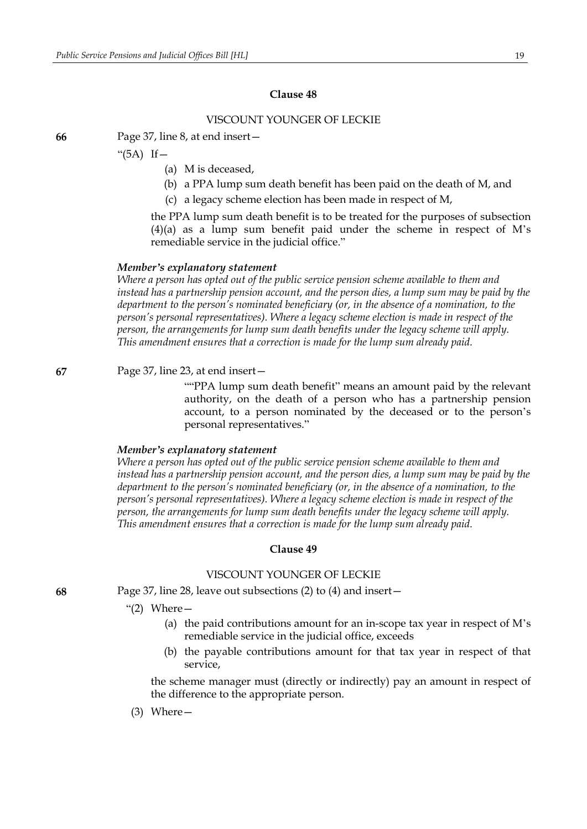### VISCOUNT YOUNGER OF LECKIE

**66** Page 37, line 8, at end insert—

" $(5A)$  If  $-$ 

- (a) M is deceased,
- (b) a PPA lump sum death benefit has been paid on the death of M, and
- (c) a legacy scheme election has been made in respect of M,

the PPA lump sum death benefit is to be treated for the purposes of subsection (4)(a) as a lump sum benefit paid under the scheme in respect of M's remediable service in the judicial office."

#### *Member's explanatory statement*

*Where a person has opted out of the public service pension scheme available to them and instead has a partnership pension account, and the person dies, a lump sum may be paid by the department to the person's nominated beneficiary (or, in the absence of a nomination, to the person's personal representatives). Where a legacy scheme election is made in respect of the person, the arrangements for lump sum death benefits under the legacy scheme will apply. This amendment ensures that a correction is made for the lump sum already paid.*

**67** Page 37, line 23, at end insert—

""PPA lump sum death benefit" means an amount paid by the relevant authority, on the death of a person who has a partnership pension account, to a person nominated by the deceased or to the person's personal representatives."

#### *Member's explanatory statement*

*Where a person has opted out of the public service pension scheme available to them and instead has a partnership pension account, and the person dies, a lump sum may be paid by the department to the person's nominated beneficiary (or, in the absence of a nomination, to the person's personal representatives). Where a legacy scheme election is made in respect of the person, the arrangements for lump sum death benefits under the legacy scheme will apply. This amendment ensures that a correction is made for the lump sum already paid.*

#### **Clause 49**

#### VISCOUNT YOUNGER OF LECKIE

**68** Page 37, line 28, leave out subsections (2) to (4) and insert—

" $(2)$  Where  $-$ 

- (a) the paid contributions amount for an in-scope tax year in respect of M's remediable service in the judicial office, exceeds
- (b) the payable contributions amount for that tax year in respect of that service,

the scheme manager must (directly or indirectly) pay an amount in respect of the difference to the appropriate person.

(3) Where—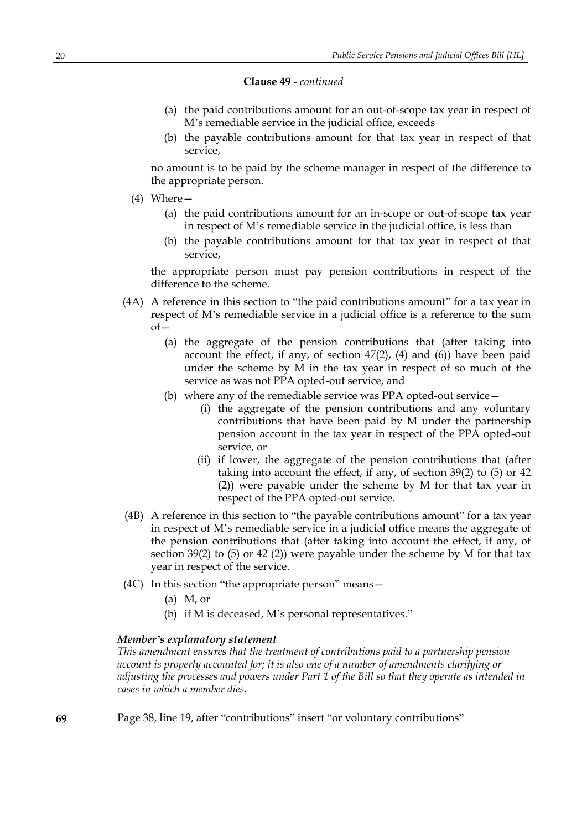#### **Clause 49** *- continued*

- (a) the paid contributions amount for an out-of-scope tax year in respect of M's remediable service in the judicial office, exceeds
- (b) the payable contributions amount for that tax year in respect of that service,

no amount is to be paid by the scheme manager in respect of the difference to the appropriate person.

- (4) Where—
	- (a) the paid contributions amount for an in-scope or out-of-scope tax year in respect of M's remediable service in the judicial office, is less than
	- (b) the payable contributions amount for that tax year in respect of that service,

the appropriate person must pay pension contributions in respect of the difference to the scheme.

- (4A) A reference in this section to "the paid contributions amount" for a tax year in respect of M's remediable service in a judicial office is a reference to the sum  $of$ 
	- (a) the aggregate of the pension contributions that (after taking into account the effect, if any, of section  $47(2)$ ,  $(4)$  and  $(6)$ ) have been paid under the scheme by M in the tax year in respect of so much of the service as was not PPA opted-out service, and
	- (b) where any of the remediable service was PPA opted-out service—
		- (i) the aggregate of the pension contributions and any voluntary contributions that have been paid by M under the partnership pension account in the tax year in respect of the PPA opted-out service, or
		- (ii) if lower, the aggregate of the pension contributions that (after taking into account the effect, if any, of section 39(2) to (5) or 42 (2)) were payable under the scheme by M for that tax year in respect of the PPA opted-out service.
- (4B) A reference in this section to "the payable contributions amount" for a tax year in respect of M's remediable service in a judicial office means the aggregate of the pension contributions that (after taking into account the effect, if any, of section 39(2) to (5) or 42 (2)) were payable under the scheme by M for that tax year in respect of the service.
- (4C) In this section "the appropriate person" means—
	- (a) M, or
	- (b) if M is deceased, M's personal representatives."

### *Member's explanatory statement*

*This amendment ensures that the treatment of contributions paid to a partnership pension account is properly accounted for; it is also one of a number of amendments clarifying or adjusting the processes and powers under Part 1 of the Bill so that they operate as intended in cases in which a member dies.*

**69** Page 38, line 19, after "contributions" insert "or voluntary contributions"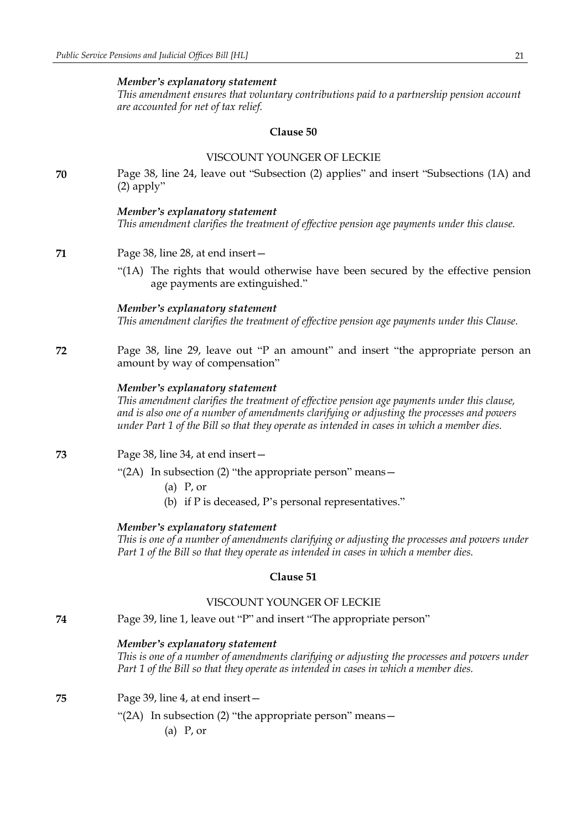*This amendment ensures that voluntary contributions paid to a partnership pension account are accounted for net of tax relief.*

#### **Clause 50**

### VISCOUNT YOUNGER OF LECKIE

**70** Page 38, line 24, leave out "Subsection (2) applies" and insert "Subsections (1A) and (2) apply"

#### *Member's explanatory statement*

*This amendment clarifies the treatment of effective pension age payments under this clause.*

- **71** Page 38, line 28, at end insert—
	- "(1A) The rights that would otherwise have been secured by the effective pension age payments are extinguished."

### *Member's explanatory statement*

*This amendment clarifies the treatment of effective pension age payments under this Clause.*

**72** Page 38, line 29, leave out "P an amount" and insert "the appropriate person an amount by way of compensation"

#### *Member's explanatory statement*

*This amendment clarifies the treatment of effective pension age payments under this clause, and is also one of a number of amendments clarifying or adjusting the processes and powers under Part 1 of the Bill so that they operate as intended in cases in which a member dies.*

- **73** Page 38, line 34, at end insert—
	- "(2A) In subsection (2) "the appropriate person" means—
		- (a) P, or
		- (b) if P is deceased, P's personal representatives."

#### *Member's explanatory statement*

*This is one of a number of amendments clarifying or adjusting the processes and powers under Part 1 of the Bill so that they operate as intended in cases in which a member dies.*

### **Clause 51**

### VISCOUNT YOUNGER OF LECKIE

**74** Page 39, line 1, leave out "P" and insert "The appropriate person"

#### *Member's explanatory statement*

*This is one of a number of amendments clarifying or adjusting the processes and powers under Part 1 of the Bill so that they operate as intended in cases in which a member dies.*

- **75** Page 39, line 4, at end insert—
	- "(2A) In subsection (2) "the appropriate person" means—
		- (a) P, or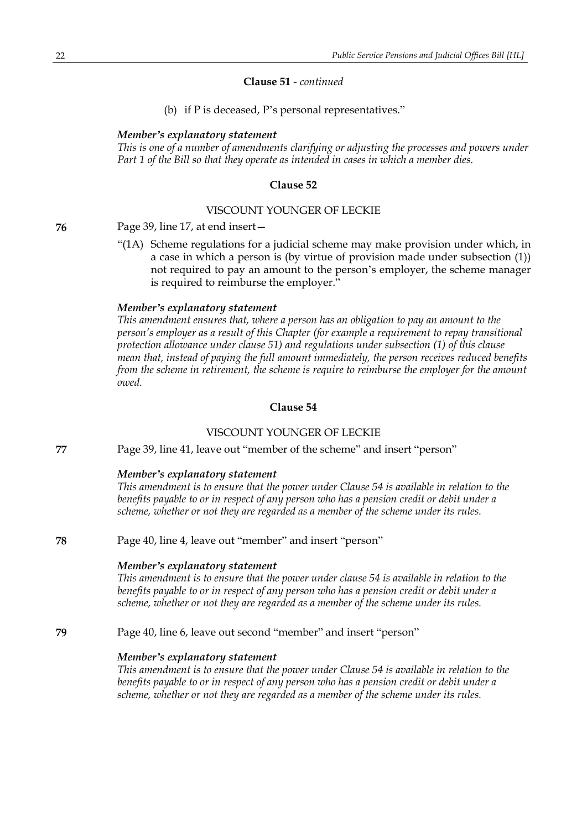#### **Clause 51** *- continued*

(b) if P is deceased, P's personal representatives."

#### *Member's explanatory statement*

*This is one of a number of amendments clarifying or adjusting the processes and powers under Part 1 of the Bill so that they operate as intended in cases in which a member dies.*

#### **Clause 52**

#### VISCOUNT YOUNGER OF LECKIE

**76** Page 39, line 17, at end insert—

"(1A) Scheme regulations for a judicial scheme may make provision under which, in a case in which a person is (by virtue of provision made under subsection (1)) not required to pay an amount to the person's employer, the scheme manager is required to reimburse the employer."

### *Member's explanatory statement*

*This amendment ensures that, where a person has an obligation to pay an amount to the person's employer as a result of this Chapter (for example a requirement to repay transitional protection allowance under clause 51) and regulations under subsection (1) of this clause mean that, instead of paying the full amount immediately, the person receives reduced benefits from the scheme in retirement, the scheme is require to reimburse the employer for the amount owed.*

### **Clause 54**

#### VISCOUNT YOUNGER OF LECKIE

**77** Page 39, line 41, leave out "member of the scheme" and insert "person"

#### *Member's explanatory statement*

*This amendment is to ensure that the power under Clause 54 is available in relation to the benefits payable to or in respect of any person who has a pension credit or debit under a scheme, whether or not they are regarded as a member of the scheme under its rules.*

#### **78** Page 40, line 4, leave out "member" and insert "person"

#### *Member's explanatory statement*

*This amendment is to ensure that the power under clause 54 is available in relation to the benefits payable to or in respect of any person who has a pension credit or debit under a scheme, whether or not they are regarded as a member of the scheme under its rules.*

### **79** Page 40, line 6, leave out second "member" and insert "person"

#### *Member's explanatory statement*

*This amendment is to ensure that the power under Clause 54 is available in relation to the benefits payable to or in respect of any person who has a pension credit or debit under a scheme, whether or not they are regarded as a member of the scheme under its rules.*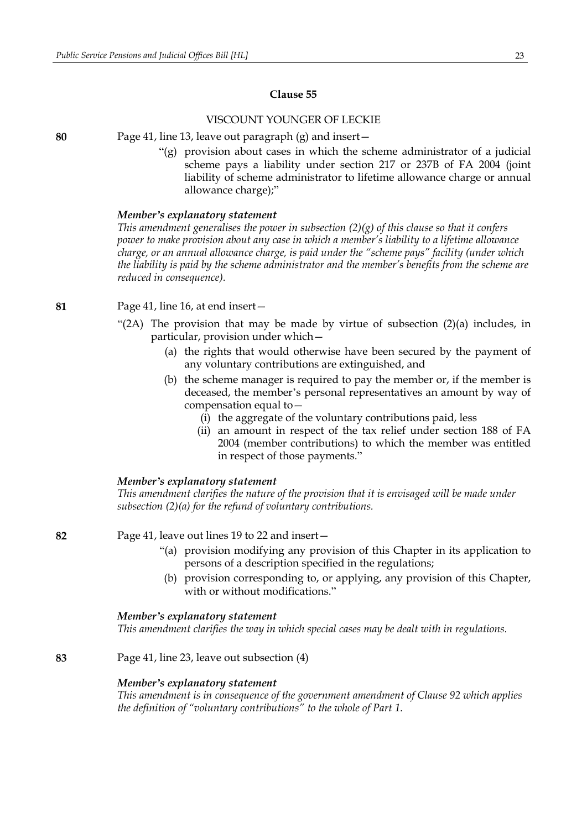### VISCOUNT YOUNGER OF LECKIE

**80** Page 41, line 13, leave out paragraph (g) and insert—

"(g) provision about cases in which the scheme administrator of a judicial scheme pays a liability under section 217 or 237B of FA 2004 (joint liability of scheme administrator to lifetime allowance charge or annual allowance charge);"

#### *Member's explanatory statement*

*This amendment generalises the power in subsection (2)(g) of this clause so that it confers power to make provision about any case in which a member's liability to a lifetime allowance charge, or an annual allowance charge, is paid under the "scheme pays" facility (under which the liability is paid by the scheme administrator and the member's benefits from the scheme are reduced in consequence).*

**81** Page 41, line 16, at end insert—

- "(2A) The provision that may be made by virtue of subsection (2)(a) includes, in particular, provision under which—
	- (a) the rights that would otherwise have been secured by the payment of any voluntary contributions are extinguished, and
	- (b) the scheme manager is required to pay the member or, if the member is deceased, the member's personal representatives an amount by way of compensation equal to—
		- (i) the aggregate of the voluntary contributions paid, less
		- (ii) an amount in respect of the tax relief under section 188 of FA 2004 (member contributions) to which the member was entitled in respect of those payments."

#### *Member's explanatory statement*

*This amendment clarifies the nature of the provision that it is envisaged will be made under subsection (2)(a) for the refund of voluntary contributions.*

**82** Page 41, leave out lines 19 to 22 and insert—

- "(a) provision modifying any provision of this Chapter in its application to persons of a description specified in the regulations;
- (b) provision corresponding to, or applying, any provision of this Chapter, with or without modifications."

#### *Member's explanatory statement*

*This amendment clarifies the way in which special cases may be dealt with in regulations.*

**83** Page 41, line 23, leave out subsection (4)

#### *Member's explanatory statement*

*This amendment is in consequence of the government amendment of Clause 92 which applies the definition of "voluntary contributions" to the whole of Part 1.*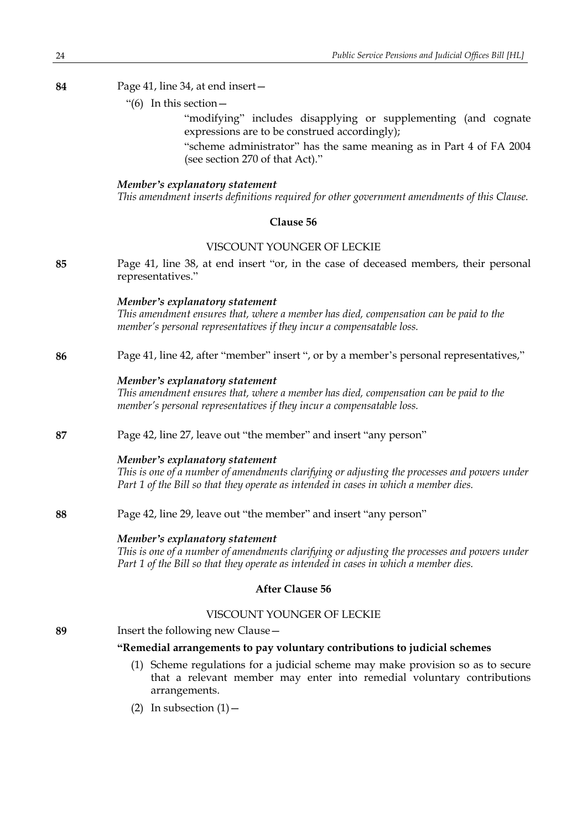### **84** Page 41, line 34, at end insert—

"(6) In this section—

"modifying" includes disapplying or supplementing (and cognate expressions are to be construed accordingly);

"scheme administrator" has the same meaning as in Part 4 of FA 2004 (see section 270 of that Act)."

#### *Member's explanatory statement*

*This amendment inserts definitions required for other government amendments of this Clause.*

### **Clause 56**

### VISCOUNT YOUNGER OF LECKIE

**85** Page 41, line 38, at end insert "or, in the case of deceased members, their personal representatives."

#### *Member's explanatory statement*

*This amendment ensures that, where a member has died, compensation can be paid to the member's personal representatives if they incur a compensatable loss.*

#### **86** Page 41, line 42, after "member" insert ", or by a member's personal representatives,"

#### *Member's explanatory statement*

*This amendment ensures that, where a member has died, compensation can be paid to the member's personal representatives if they incur a compensatable loss.*

#### **87** Page 42, line 27, leave out "the member" and insert "any person"

#### *Member's explanatory statement*

*This is one of a number of amendments clarifying or adjusting the processes and powers under Part 1 of the Bill so that they operate as intended in cases in which a member dies.*

**88** Page 42, line 29, leave out "the member" and insert "any person"

### *Member's explanatory statement*

*This is one of a number of amendments clarifying or adjusting the processes and powers under Part 1 of the Bill so that they operate as intended in cases in which a member dies.*

### **After Clause 56**

### VISCOUNT YOUNGER OF LECKIE

**89** Insert the following new Clause—

### **"Remedial arrangements to pay voluntary contributions to judicial schemes**

- (1) Scheme regulations for a judicial scheme may make provision so as to secure that a relevant member may enter into remedial voluntary contributions arrangements.
- (2) In subsection  $(1)$  -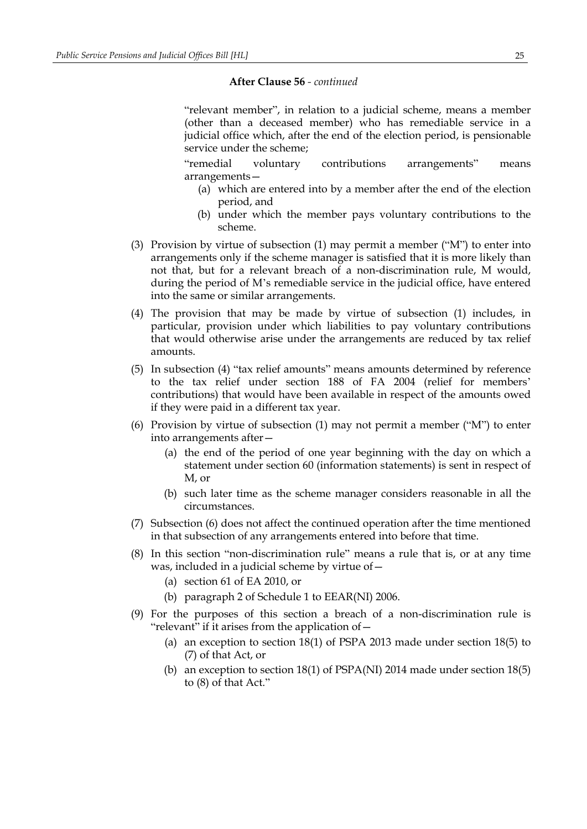#### **After Clause 56** *- continued*

"relevant member", in relation to a judicial scheme, means a member (other than a deceased member) who has remediable service in a judicial office which, after the end of the election period, is pensionable service under the scheme;

"remedial voluntary contributions arrangements" means arrangements—

- (a) which are entered into by a member after the end of the election period, and
- (b) under which the member pays voluntary contributions to the scheme.
- (3) Provision by virtue of subsection (1) may permit a member ("M") to enter into arrangements only if the scheme manager is satisfied that it is more likely than not that, but for a relevant breach of a non-discrimination rule, M would, during the period of M's remediable service in the judicial office, have entered into the same or similar arrangements.
- (4) The provision that may be made by virtue of subsection (1) includes, in particular, provision under which liabilities to pay voluntary contributions that would otherwise arise under the arrangements are reduced by tax relief amounts.
- (5) In subsection (4) "tax relief amounts" means amounts determined by reference to the tax relief under section 188 of FA 2004 (relief for members' contributions) that would have been available in respect of the amounts owed if they were paid in a different tax year.
- (6) Provision by virtue of subsection (1) may not permit a member ("M") to enter into arrangements after—
	- (a) the end of the period of one year beginning with the day on which a statement under section 60 (information statements) is sent in respect of M, or
	- (b) such later time as the scheme manager considers reasonable in all the circumstances.
- (7) Subsection (6) does not affect the continued operation after the time mentioned in that subsection of any arrangements entered into before that time.
- (8) In this section "non-discrimination rule" means a rule that is, or at any time was, included in a judicial scheme by virtue of—
	- (a) section 61 of EA 2010, or
	- (b) paragraph 2 of Schedule 1 to EEAR(NI) 2006.
- (9) For the purposes of this section a breach of a non-discrimination rule is "relevant" if it arises from the application of—
	- (a) an exception to section 18(1) of PSPA 2013 made under section 18(5) to (7) of that Act, or
	- (b) an exception to section 18(1) of PSPA(NI) 2014 made under section 18(5) to (8) of that Act."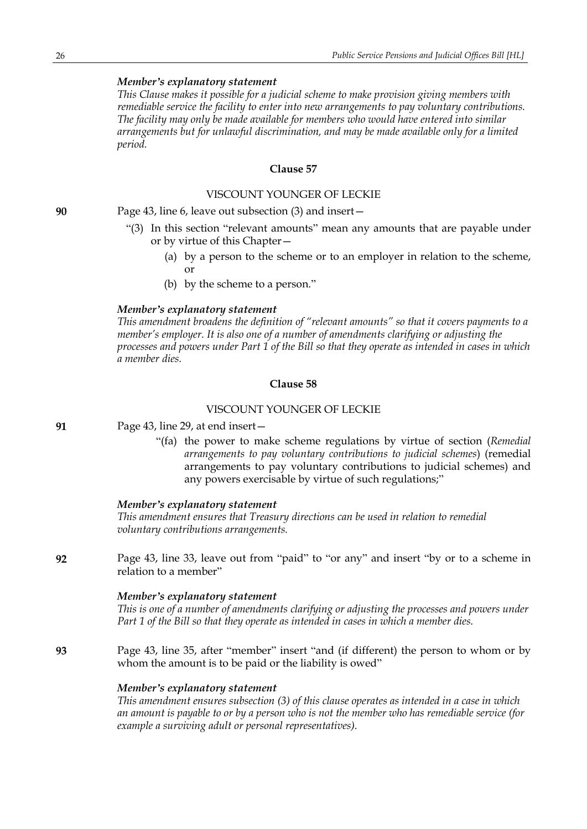*This Clause makes it possible for a judicial scheme to make provision giving members with remediable service the facility to enter into new arrangements to pay voluntary contributions. The facility may only be made available for members who would have entered into similar arrangements but for unlawful discrimination, and may be made available only for a limited period.*

### **Clause 57**

### VISCOUNT YOUNGER OF LECKIE

**90** Page 43, line 6, leave out subsection (3) and insert—

- "(3) In this section "relevant amounts" mean any amounts that are payable under or by virtue of this Chapter—
	- (a) by a person to the scheme or to an employer in relation to the scheme, or
	- (b) by the scheme to a person."

#### *Member's explanatory statement*

*This amendment broadens the definition of "relevant amounts" so that it covers payments to a member's employer. It is also one of a number of amendments clarifying or adjusting the* processes and powers under Part 1 of the Bill so that they operate as intended in cases in which *a member dies.*

### **Clause 58**

### VISCOUNT YOUNGER OF LECKIE

**91** Page 43, line 29, at end insert—

"(fa) the power to make scheme regulations by virtue of section (*Remedial arrangements to pay voluntary contributions to judicial schemes*) (remedial arrangements to pay voluntary contributions to judicial schemes) and any powers exercisable by virtue of such regulations;"

#### *Member's explanatory statement*

*This amendment ensures that Treasury directions can be used in relation to remedial voluntary contributions arrangements.*

**92** Page 43, line 33, leave out from "paid" to "or any" and insert "by or to a scheme in relation to a member"

#### *Member's explanatory statement*

*This is one of a number of amendments clarifying or adjusting the processes and powers under Part 1 of the Bill so that they operate as intended in cases in which a member dies.*

**93** Page 43, line 35, after "member" insert "and (if different) the person to whom or by whom the amount is to be paid or the liability is owed"

#### *Member's explanatory statement*

*This amendment ensures subsection (3) of this clause operates as intended in a case in which* an amount is payable to or by a person who is not the member who has remediable service (for *example a surviving adult or personal representatives).*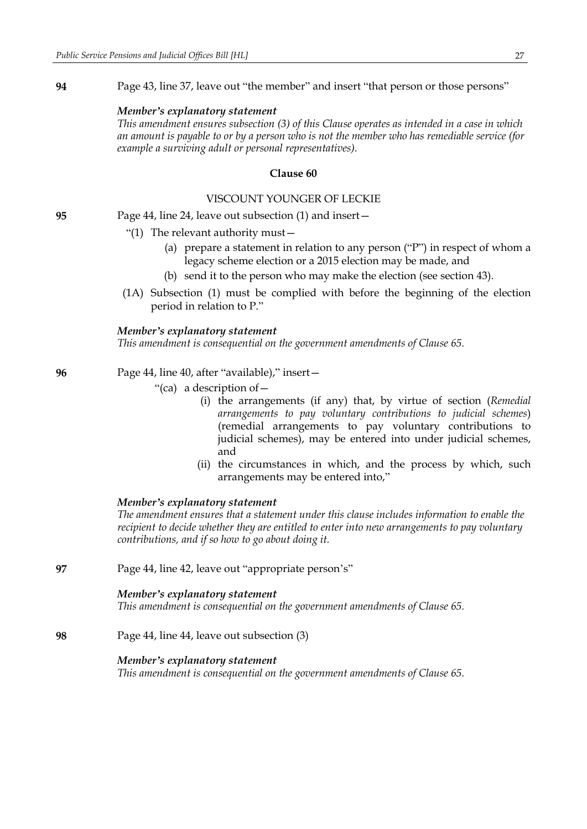**94** Page 43, line 37, leave out "the member" and insert "that person or those persons"

#### *Member's explanatory statement*

*This amendment ensures subsection (3) of this Clause operates as intended in a case in which* an amount is payable to or by a person who is not the member who has remediable service (for *example a surviving adult or personal representatives).*

#### **Clause 60**

### VISCOUNT YOUNGER OF LECKIE

**95** Page 44, line 24, leave out subsection (1) and insert—

- "(1) The relevant authority must—
	- (a) prepare a statement in relation to any person ("P") in respect of whom a legacy scheme election or a 2015 election may be made, and
	- (b) send it to the person who may make the election (see section 43).
- (1A) Subsection (1) must be complied with before the beginning of the election period in relation to P."

#### *Member's explanatory statement*

*This amendment is consequential on the government amendments of Clause 65.*

- **96** Page 44, line 40, after "available)," insert—
	- "(ca) a description of—
		- (i) the arrangements (if any) that, by virtue of section (*Remedial arrangements to pay voluntary contributions to judicial schemes*) (remedial arrangements to pay voluntary contributions to judicial schemes), may be entered into under judicial schemes, and
		- (ii) the circumstances in which, and the process by which, such arrangements may be entered into,"

#### *Member's explanatory statement*

*The amendment ensures that a statement under this clause includes information to enable the recipient to decide whether they are entitled to enter into new arrangements to pay voluntary contributions, and if so how to go about doing it.*

**97** Page 44, line 42, leave out "appropriate person's"

### *Member's explanatory statement*

*This amendment is consequential on the government amendments of Clause 65.*

**98** Page 44, line 44, leave out subsection (3)

#### *Member's explanatory statement*

*This amendment is consequential on the government amendments of Clause 65.*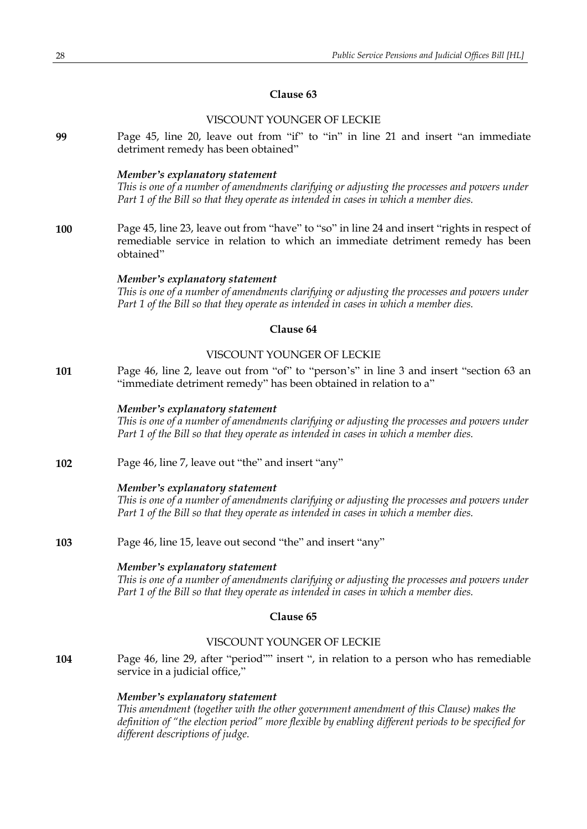### VISCOUNT YOUNGER OF LECKIE

**99** Page 45, line 20, leave out from "if" to "in" in line 21 and insert "an immediate detriment remedy has been obtained"

### *Member's explanatory statement*

*This is one of a number of amendments clarifying or adjusting the processes and powers under Part 1 of the Bill so that they operate as intended in cases in which a member dies.*

**100** Page 45, line 23, leave out from "have" to "so" in line 24 and insert "rights in respect of remediable service in relation to which an immediate detriment remedy has been obtained"

#### *Member's explanatory statement*

*This is one of a number of amendments clarifying or adjusting the processes and powers under Part 1 of the Bill so that they operate as intended in cases in which a member dies.*

### **Clause 64**

### VISCOUNT YOUNGER OF LECKIE

**101** Page 46, line 2, leave out from "of" to "person's" in line 3 and insert "section 63 an "immediate detriment remedy" has been obtained in relation to a"

#### *Member's explanatory statement*

*This is one of a number of amendments clarifying or adjusting the processes and powers under Part 1 of the Bill so that they operate as intended in cases in which a member dies.*

**102** Page 46, line 7, leave out "the" and insert "any"

#### *Member's explanatory statement*

*This is one of a number of amendments clarifying or adjusting the processes and powers under Part 1 of the Bill so that they operate as intended in cases in which a member dies.*

**103** Page 46, line 15, leave out second "the" and insert "any"

#### *Member's explanatory statement*

*This is one of a number of amendments clarifying or adjusting the processes and powers under Part 1 of the Bill so that they operate as intended in cases in which a member dies.*

#### **Clause 65**

### VISCOUNT YOUNGER OF LECKIE

**104** Page 46, line 29, after "period"" insert ", in relation to a person who has remediable service in a judicial office,"

#### *Member's explanatory statement*

*This amendment (together with the other government amendment of this Clause) makes the definition of "the election period" more flexible by enabling different periods to be specified for different descriptions of judge.*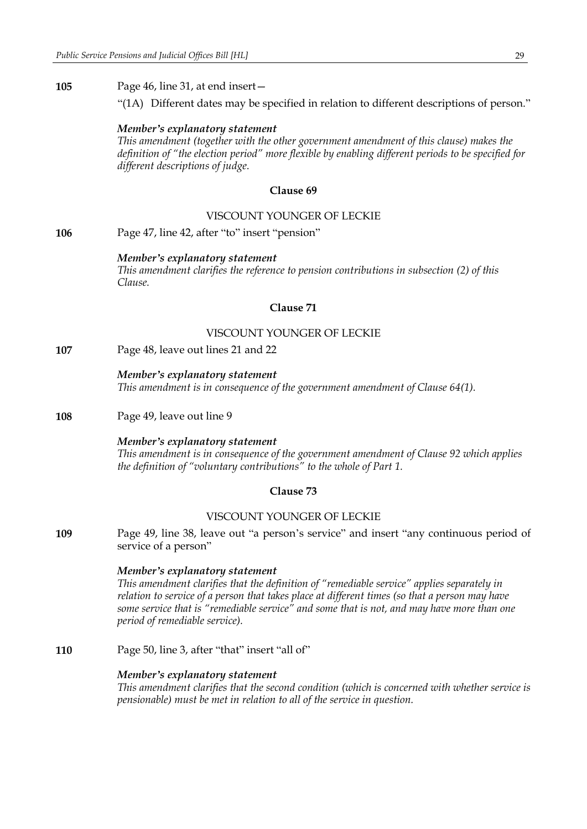**105** Page 46, line 31, at end insert—

"(1A) Different dates may be specified in relation to different descriptions of person."

#### *Member's explanatory statement*

*This amendment (together with the other government amendment of this clause) makes the definition of "the election period" more flexible by enabling different periods to be specified for different descriptions of judge.*

### **Clause 69**

### VISCOUNT YOUNGER OF LECKIE

**106** Page 47, line 42, after "to" insert "pension"

#### *Member's explanatory statement*

*This amendment clarifies the reference to pension contributions in subsection (2) of this Clause.*

### **Clause 71**

### VISCOUNT YOUNGER OF LECKIE

**107** Page 48, leave out lines 21 and 22

#### *Member's explanatory statement*

*This amendment is in consequence of the government amendment of Clause 64(1).*

#### **108** Page 49, leave out line 9

#### *Member's explanatory statement*

*This amendment is in consequence of the government amendment of Clause 92 which applies the definition of "voluntary contributions" to the whole of Part 1.*

### **Clause 73**

#### VISCOUNT YOUNGER OF LECKIE

**109** Page 49, line 38, leave out "a person's service" and insert "any continuous period of service of a person"

#### *Member's explanatory statement*

*This amendment clarifies that the definition of "remediable service" applies separately in relation to service of a person that takes place at different times (so that a person may have some service that is "remediable service" and some that is not, and may have more than one period of remediable service).*

**110** Page 50, line 3, after "that" insert "all of"

#### *Member's explanatory statement*

*This amendment clarifies that the second condition (which is concerned with whether service is pensionable) must be met in relation to all of the service in question.*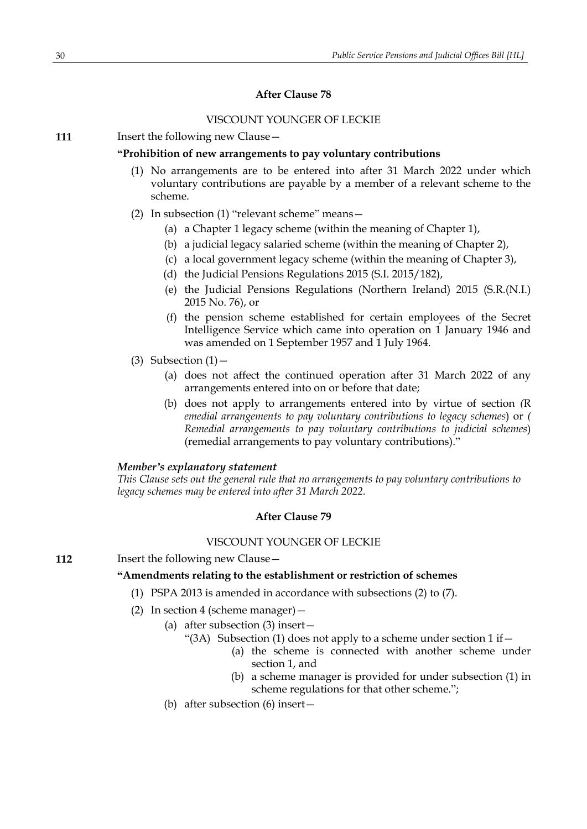### **After Clause 78**

### VISCOUNT YOUNGER OF LECKIE

**111** Insert the following new Clause -

#### **"Prohibition of new arrangements to pay voluntary contributions**

- (1) No arrangements are to be entered into after 31 March 2022 under which voluntary contributions are payable by a member of a relevant scheme to the scheme.
- (2) In subsection (1) "relevant scheme" means—
	- (a) a Chapter 1 legacy scheme (within the meaning of Chapter 1),
	- (b) a judicial legacy salaried scheme (within the meaning of Chapter 2),
	- (c) a local government legacy scheme (within the meaning of Chapter 3),
	- (d) the Judicial Pensions Regulations 2015 (S.I. 2015/182),
	- (e) the Judicial Pensions Regulations (Northern Ireland) 2015 (S.R.(N.I.) 2015 No. 76), or
	- (f) the pension scheme established for certain employees of the Secret Intelligence Service which came into operation on 1 January 1946 and was amended on 1 September 1957 and 1 July 1964.
- (3) Subsection  $(1)$  -
	- (a) does not affect the continued operation after 31 March 2022 of any arrangements entered into on or before that date;
	- (b) does not apply to arrangements entered into by virtue of section *(*R *emedial arrangements to pay voluntary contributions to legacy schemes*) or *( Remedial arrangements to pay voluntary contributions to judicial schemes*) (remedial arrangements to pay voluntary contributions)."

#### *Member's explanatory statement*

*This Clause sets out the general rule that no arrangements to pay voluntary contributions to legacy schemes may be entered into after 31 March 2022.*

#### **After Clause 79**

#### VISCOUNT YOUNGER OF LECKIE

**112** Insert the following new Clause -

### **"Amendments relating to the establishment or restriction of schemes**

- (1) PSPA 2013 is amended in accordance with subsections (2) to (7).
- (2) In section 4 (scheme manager)—
	- (a) after subsection (3) insert—
		- "(3A) Subsection (1) does not apply to a scheme under section  $1$  if  $-$ 
			- (a) the scheme is connected with another scheme under section 1, and
			- (b) a scheme manager is provided for under subsection (1) in scheme regulations for that other scheme.";
	- (b) after subsection (6) insert—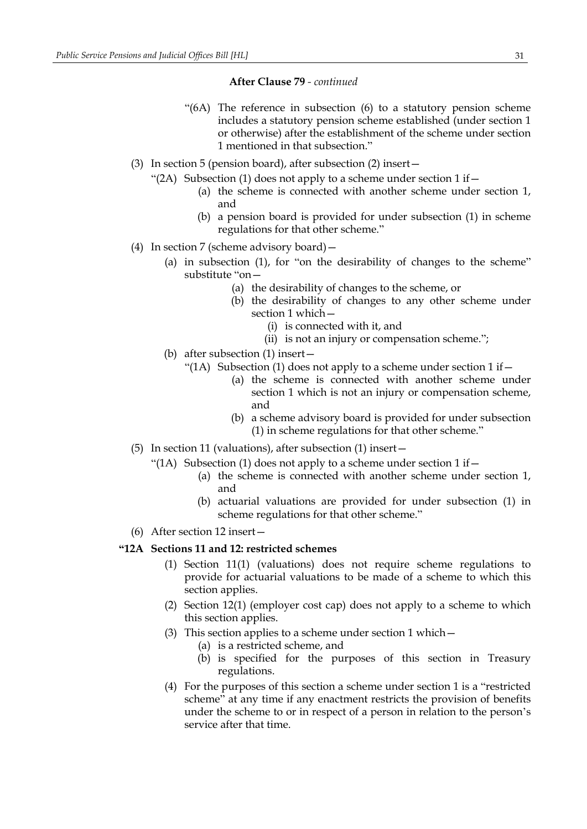### **After Clause 79** *- continued*

- "(6A) The reference in subsection (6) to a statutory pension scheme includes a statutory pension scheme established (under section 1 or otherwise) after the establishment of the scheme under section 1 mentioned in that subsection."
- (3) In section 5 (pension board), after subsection (2) insert—
	- "(2A) Subsection (1) does not apply to a scheme under section  $1$  if  $-$ 
		- (a) the scheme is connected with another scheme under section 1, and
		- (b) a pension board is provided for under subsection (1) in scheme regulations for that other scheme."
- (4) In section 7 (scheme advisory board)—
	- (a) in subsection (1), for "on the desirability of changes to the scheme" substitute "on—
		- (a) the desirability of changes to the scheme, or
		- (b) the desirability of changes to any other scheme under section 1 which—
			- (i) is connected with it, and
			- (ii) is not an injury or compensation scheme.";
	- (b) after subsection (1) insert—
		- "(1A) Subsection (1) does not apply to a scheme under section  $1$  if  $-$ 
			- (a) the scheme is connected with another scheme under section 1 which is not an injury or compensation scheme, and
			- (b) a scheme advisory board is provided for under subsection (1) in scheme regulations for that other scheme."
- (5) In section 11 (valuations), after subsection (1) insert—
	- "(1A) Subsection (1) does not apply to a scheme under section  $1$  if  $-$ 
		- (a) the scheme is connected with another scheme under section 1, and
		- (b) actuarial valuations are provided for under subsection (1) in scheme regulations for that other scheme."
- (6) After section 12 insert—

### **"12A Sections 11 and 12: restricted schemes**

- (1) Section 11(1) (valuations) does not require scheme regulations to provide for actuarial valuations to be made of a scheme to which this section applies.
- (2) Section 12(1) (employer cost cap) does not apply to a scheme to which this section applies.
- (3) This section applies to a scheme under section 1 which  $-$ 
	- (a) is a restricted scheme, and
	- (b) is specified for the purposes of this section in Treasury regulations.
- (4) For the purposes of this section a scheme under section 1 is a "restricted scheme" at any time if any enactment restricts the provision of benefits under the scheme to or in respect of a person in relation to the person's service after that time.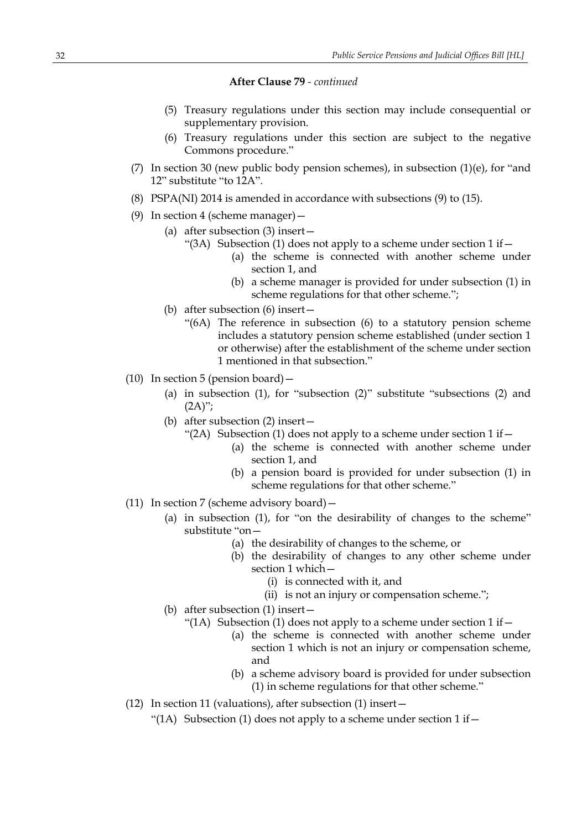**After Clause 79** *- continued*

- (5) Treasury regulations under this section may include consequential or supplementary provision.
- (6) Treasury regulations under this section are subject to the negative Commons procedure."
- (7) In section 30 (new public body pension schemes), in subsection  $(1)(e)$ , for "and 12" substitute "to 12A".
- (8) PSPA(NI) 2014 is amended in accordance with subsections (9) to (15).
- (9) In section 4 (scheme manager)  $-$ 
	- (a) after subsection (3) insert—
		- "(3A) Subsection (1) does not apply to a scheme under section  $1$  if  $-$ 
			- (a) the scheme is connected with another scheme under section 1, and
			- (b) a scheme manager is provided for under subsection (1) in scheme regulations for that other scheme.";
	- (b) after subsection (6) insert—
		- "(6A) The reference in subsection (6) to a statutory pension scheme includes a statutory pension scheme established (under section 1 or otherwise) after the establishment of the scheme under section 1 mentioned in that subsection."
- (10) In section 5 (pension board)  $-$ 
	- (a) in subsection (1), for "subsection (2)" substitute "subsections (2) and  $(2A)$ ";
	- (b) after subsection (2) insert—
		- "(2A) Subsection (1) does not apply to a scheme under section  $1$  if  $-$ 
			- (a) the scheme is connected with another scheme under section 1, and
			- (b) a pension board is provided for under subsection (1) in scheme regulations for that other scheme."
- (11) In section 7 (scheme advisory board)—
	- (a) in subsection (1), for "on the desirability of changes to the scheme" substitute "on—
		- (a) the desirability of changes to the scheme, or
		- (b) the desirability of changes to any other scheme under section 1 which—
			- (i) is connected with it, and
			- (ii) is not an injury or compensation scheme.";
	- (b) after subsection (1) insert—
		- "(1A) Subsection (1) does not apply to a scheme under section  $1$  if  $-$ 
			- (a) the scheme is connected with another scheme under section 1 which is not an injury or compensation scheme, and
			- (b) a scheme advisory board is provided for under subsection (1) in scheme regulations for that other scheme."
- (12) In section 11 (valuations), after subsection (1) insert—
	- "(1A) Subsection (1) does not apply to a scheme under section  $1$  if  $-$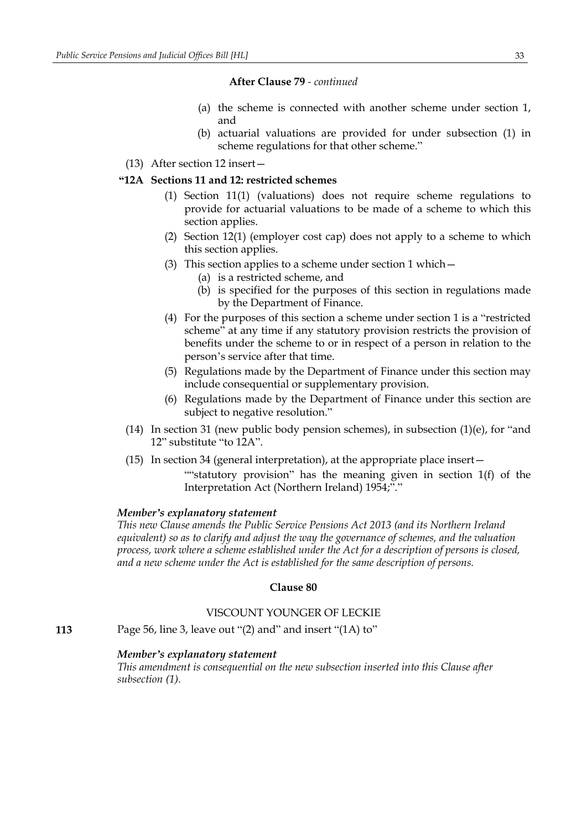### **After Clause 79** *- continued*

- (a) the scheme is connected with another scheme under section 1, and
- (b) actuarial valuations are provided for under subsection (1) in scheme regulations for that other scheme."
- (13) After section 12 insert—

### **"12A Sections 11 and 12: restricted schemes**

- (1) Section 11(1) (valuations) does not require scheme regulations to provide for actuarial valuations to be made of a scheme to which this section applies.
- (2) Section 12(1) (employer cost cap) does not apply to a scheme to which this section applies.
- (3) This section applies to a scheme under section 1 which—
	- (a) is a restricted scheme, and
	- (b) is specified for the purposes of this section in regulations made by the Department of Finance.
- (4) For the purposes of this section a scheme under section 1 is a "restricted scheme" at any time if any statutory provision restricts the provision of benefits under the scheme to or in respect of a person in relation to the person's service after that time.
- (5) Regulations made by the Department of Finance under this section may include consequential or supplementary provision.
- (6) Regulations made by the Department of Finance under this section are subject to negative resolution."
- (14) In section 31 (new public body pension schemes), in subsection  $(1)(e)$ , for "and 12" substitute "to 12A".
- (15) In section 34 (general interpretation), at the appropriate place insert— ""statutory provision" has the meaning given in section 1(f) of the Interpretation Act (Northern Ireland) 1954;"."

#### *Member's explanatory statement*

*This new Clause amends the Public Service Pensions Act 2013 (and its Northern Ireland equivalent) so as to clarify and adjust the way the governance of schemes, and the valuation process, work where a scheme established under the Act for a description of persons is closed, and a new scheme under the Act is established for the same description of persons.*

#### **Clause 80**

### VISCOUNT YOUNGER OF LECKIE

**113** Page 56, line 3, leave out "(2) and" and insert "(1A) to"

### *Member's explanatory statement*

*This amendment is consequential on the new subsection inserted into this Clause after subsection (1).*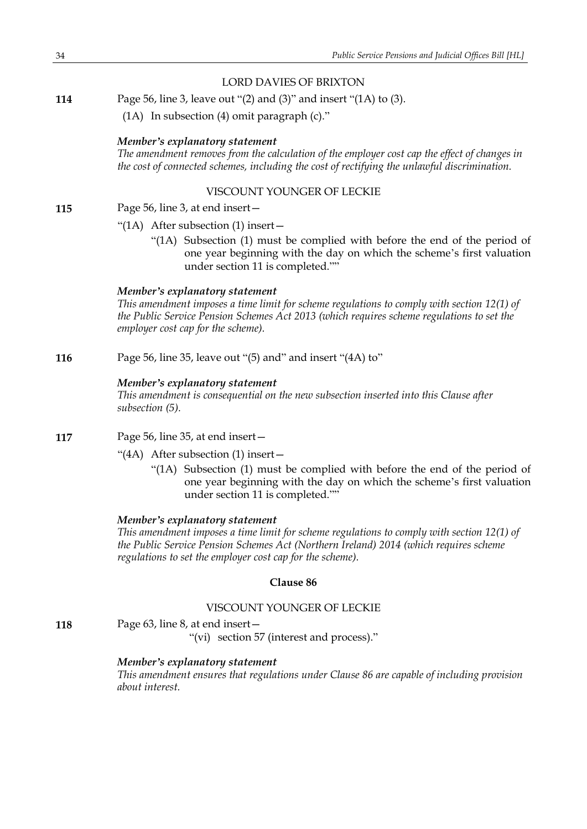### LORD DAVIES OF BRIXTON

**114** Page 56, line 3, leave out "(2) and (3)" and insert "(1A) to (3).

(1A) In subsection (4) omit paragraph (c)."

#### *Member's explanatory statement*

*The amendment removes from the calculation of the employer cost cap the effect of changes in the cost of connected schemes, including the cost of rectifying the unlawful discrimination.*

### VISCOUNT YOUNGER OF LECKIE

#### **115** Page 56, line 3, at end insert—

- "(1A) After subsection (1) insert—
	- "(1A) Subsection (1) must be complied with before the end of the period of one year beginning with the day on which the scheme's first valuation under section 11 is completed.""

#### *Member's explanatory statement*

*This amendment imposes a time limit for scheme regulations to comply with section 12(1) of the Public Service Pension Schemes Act 2013 (which requires scheme regulations to set the employer cost cap for the scheme).*

**116** Page 56, line 35, leave out "(5) and" and insert "(4A) to"

#### *Member's explanatory statement*

*This amendment is consequential on the new subsection inserted into this Clause after subsection (5).*

- **117** Page 56, line 35, at end insert—
	- "(4A) After subsection (1) insert—
		- "(1A) Subsection (1) must be complied with before the end of the period of one year beginning with the day on which the scheme's first valuation under section 11 is completed.""

#### *Member's explanatory statement*

*This amendment imposes a time limit for scheme regulations to comply with section 12(1) of the Public Service Pension Schemes Act (Northern Ireland) 2014 (which requires scheme regulations to set the employer cost cap for the scheme).*

#### **Clause 86**

### VISCOUNT YOUNGER OF LECKIE

**118** Page 63, line 8, at end insert—

"(vi) section 57 (interest and process)."

### *Member's explanatory statement*

*This amendment ensures that regulations under Clause 86 are capable of including provision about interest.*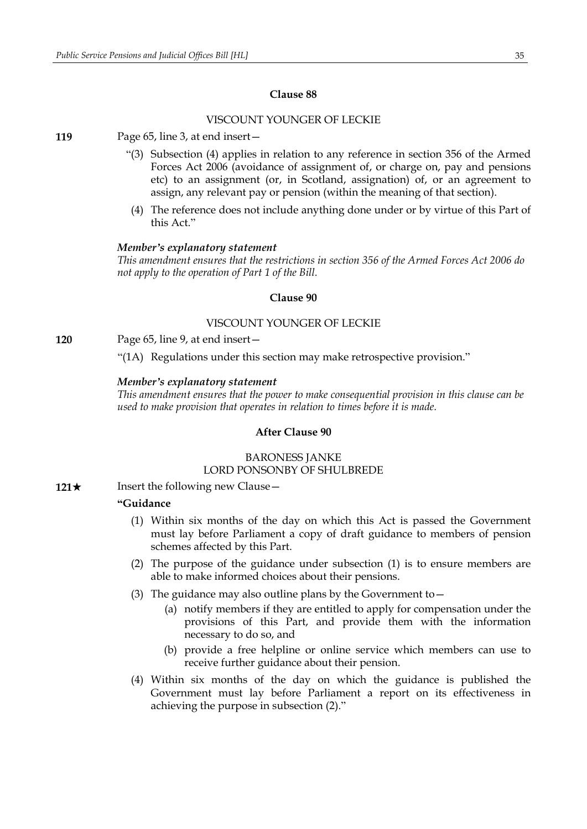### VISCOUNT YOUNGER OF LECKIE

**119** Page 65, line 3, at end insert—

- "(3) Subsection (4) applies in relation to any reference in section 356 of the Armed Forces Act 2006 (avoidance of assignment of, or charge on, pay and pensions etc) to an assignment (or, in Scotland, assignation) of, or an agreement to assign, any relevant pay or pension (within the meaning of that section).
- (4) The reference does not include anything done under or by virtue of this Part of this Act."

#### *Member's explanatory statement*

*This amendment ensures that the restrictions in section 356 of the Armed Forces Act 2006 do not apply to the operation of Part 1 of the Bill.*

### **Clause 90**

#### VISCOUNT YOUNGER OF LECKIE

**120** Page 65, line 9, at end insert—

"(1A) Regulations under this section may make retrospective provision."

#### *Member's explanatory statement*

*This amendment ensures that the power to make consequential provision in this clause can be used to make provision that operates in relation to times before it is made.*

#### **After Clause 90**

### BARONESS JANKE LORD PONSONBY OF SHULBREDE

**121**★ Insert the following new Clause —

### **"Guidance**

- (1) Within six months of the day on which this Act is passed the Government must lay before Parliament a copy of draft guidance to members of pension schemes affected by this Part.
- (2) The purpose of the guidance under subsection (1) is to ensure members are able to make informed choices about their pensions.
- (3) The guidance may also outline plans by the Government to  $-$ 
	- (a) notify members if they are entitled to apply for compensation under the provisions of this Part, and provide them with the information necessary to do so, and
	- (b) provide a free helpline or online service which members can use to receive further guidance about their pension.
- (4) Within six months of the day on which the guidance is published the Government must lay before Parliament a report on its effectiveness in achieving the purpose in subsection (2)."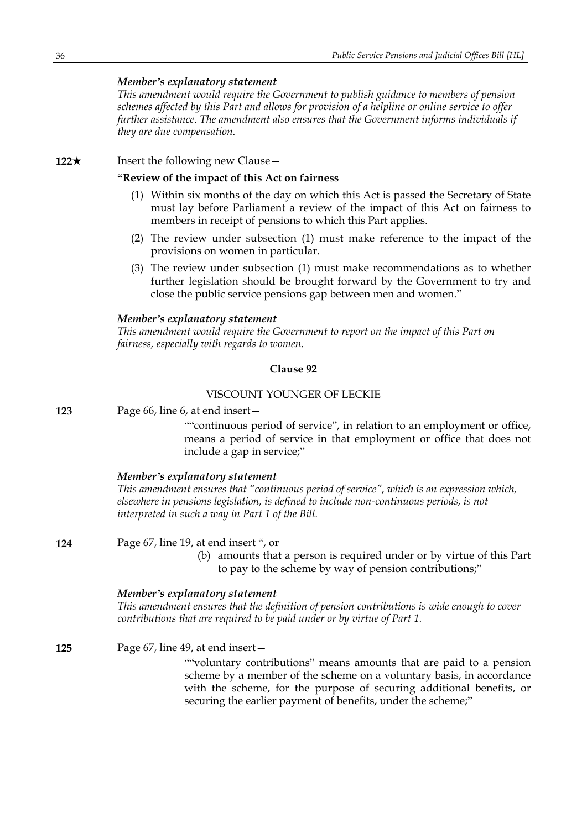*This amendment would require the Government to publish guidance to members of pension schemes affected by this Part and allows for provision of a helpline or online service to offer further assistance. The amendment also ensures that the Government informs individuals if they are due compensation.*

### **122**★ Insert the following new Clause —

### **"Review of the impact of this Act on fairness**

- (1) Within six months of the day on which this Act is passed the Secretary of State must lay before Parliament a review of the impact of this Act on fairness to members in receipt of pensions to which this Part applies.
- (2) The review under subsection (1) must make reference to the impact of the provisions on women in particular.
- (3) The review under subsection (1) must make recommendations as to whether further legislation should be brought forward by the Government to try and close the public service pensions gap between men and women."

#### *Member's explanatory statement*

*This amendment would require the Government to report on the impact of this Part on fairness, especially with regards to women.*

#### **Clause 92**

### VISCOUNT YOUNGER OF LECKIE

**123** Page 66, line 6, at end insert—

""continuous period of service", in relation to an employment or office, means a period of service in that employment or office that does not include a gap in service;"

#### *Member's explanatory statement*

*This amendment ensures that "continuous period of service", which is an expression which, elsewhere in pensions legislation, is defined to include non-continuous periods, is not interpreted in such a way in Part 1 of the Bill.*

**124** Page 67, line 19, at end insert ", or

(b) amounts that a person is required under or by virtue of this Part to pay to the scheme by way of pension contributions;"

#### *Member's explanatory statement*

*This amendment ensures that the definition of pension contributions is wide enough to cover contributions that are required to be paid under or by virtue of Part 1.*

**125** Page 67, line 49, at end insert— ""voluntary contributions" means amounts that are paid to a pension scheme by a member of the scheme on a voluntary basis, in accordance with the scheme, for the purpose of securing additional benefits, or securing the earlier payment of benefits, under the scheme;"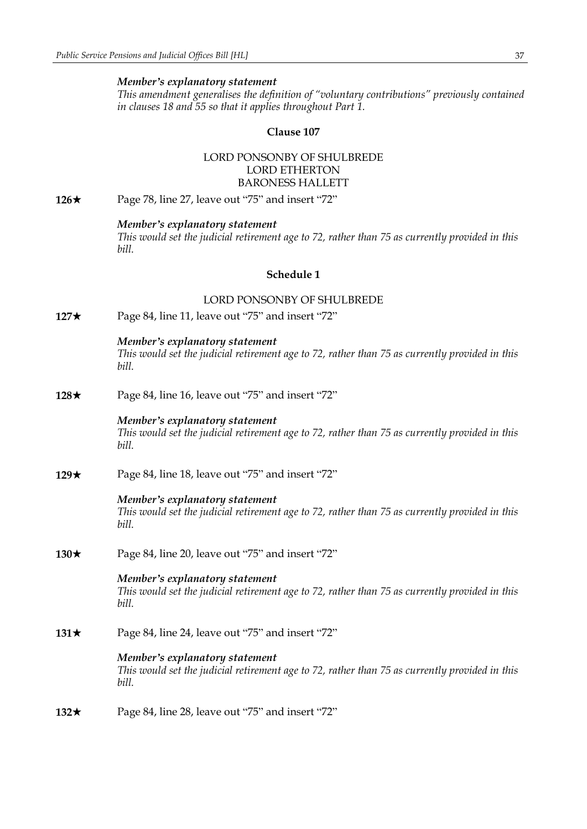*This amendment generalises the definition of "voluntary contributions" previously contained in clauses 18 and 55 so that it applies throughout Part 1.*

#### **Clause 107**

### LORD PONSONBY OF SHULBREDE LORD ETHERTON BARONESS HALLETT

**126**★ Page 78, line 27, leave out "75" and insert "72"

#### *Member's explanatory statement*

*This would set the judicial retirement age to 72, rather than 75 as currently provided in this bill.*

### **Schedule 1**

### LORD PONSONBY OF SHULBREDE

**127★** Page 84, line 11, leave out "75" and insert "72"

### *Member's explanatory statement*

*This would set the judicial retirement age to 72, rather than 75 as currently provided in this bill.*

**128**★ Page 84, line 16, leave out "75" and insert "72"

#### *Member's explanatory statement*

*This would set the judicial retirement age to 72, rather than 75 as currently provided in this bill.*

**129**★ Page 84, line 18, leave out "75" and insert "72"

#### *Member's explanatory statement*

*This would set the judicial retirement age to 72, rather than 75 as currently provided in this bill.*

**130**★ Page 84, line 20, leave out "75" and insert "72"

#### *Member's explanatory statement*

*This would set the judicial retirement age to 72, rather than 75 as currently provided in this bill.*

**131★** Page 84, line 24, leave out "75" and insert "72"

#### *Member's explanatory statement*

*This would set the judicial retirement age to 72, rather than 75 as currently provided in this bill.*

**132★** Page 84, line 28, leave out "75" and insert "72"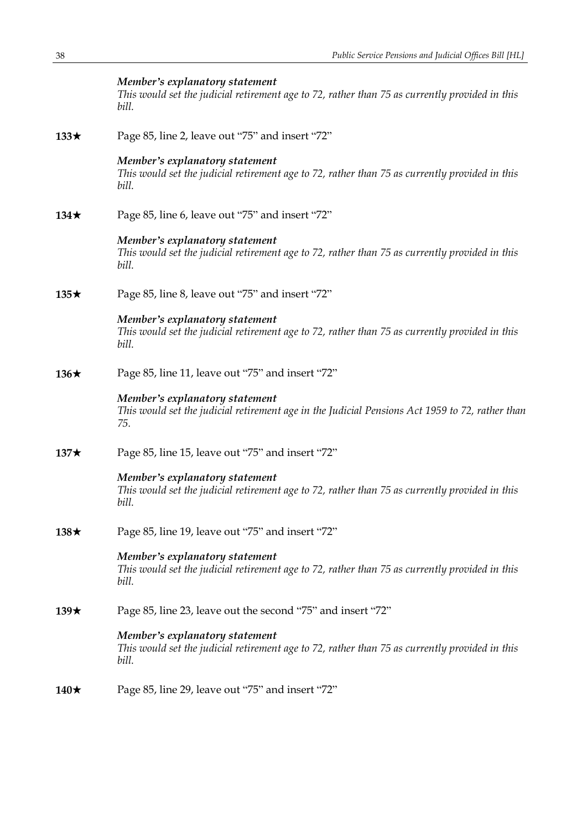|             | Member's explanatory statement<br>This would set the judicial retirement age to 72, rather than 75 as currently provided in this<br>bill. |
|-------------|-------------------------------------------------------------------------------------------------------------------------------------------|
| $133\star$  | Page 85, line 2, leave out "75" and insert "72"                                                                                           |
|             | Member's explanatory statement<br>This would set the judicial retirement age to 72, rather than 75 as currently provided in this<br>bill. |
| $134\star$  | Page 85, line 6, leave out "75" and insert "72"                                                                                           |
|             | Member's explanatory statement<br>This would set the judicial retirement age to 72, rather than 75 as currently provided in this<br>bill. |
| $135\star$  | Page 85, line 8, leave out "75" and insert "72"                                                                                           |
|             | Member's explanatory statement<br>This would set the judicial retirement age to 72, rather than 75 as currently provided in this<br>bill. |
| 136 $\star$ | Page 85, line 11, leave out "75" and insert "72"                                                                                          |
|             | Member's explanatory statement<br>This would set the judicial retirement age in the Judicial Pensions Act 1959 to 72, rather than<br>75.  |
| $137\star$  | Page 85, line 15, leave out "75" and insert "72"                                                                                          |
|             | Member's explanatory statement<br>This would set the judicial retirement age to 72, rather than 75 as currently provided in this<br>bill. |
| $138\star$  | Page 85, line 19, leave out "75" and insert "72"                                                                                          |
|             | Member's explanatory statement<br>This would set the judicial retirement age to 72, rather than 75 as currently provided in this<br>bill. |
| 139 $\star$ | Page 85, line 23, leave out the second "75" and insert "72"                                                                               |
|             | Member's explanatory statement<br>This would set the judicial retirement age to 72, rather than 75 as currently provided in this<br>bill. |
| 140 $\star$ | Page 85, line 29, leave out "75" and insert "72"                                                                                          |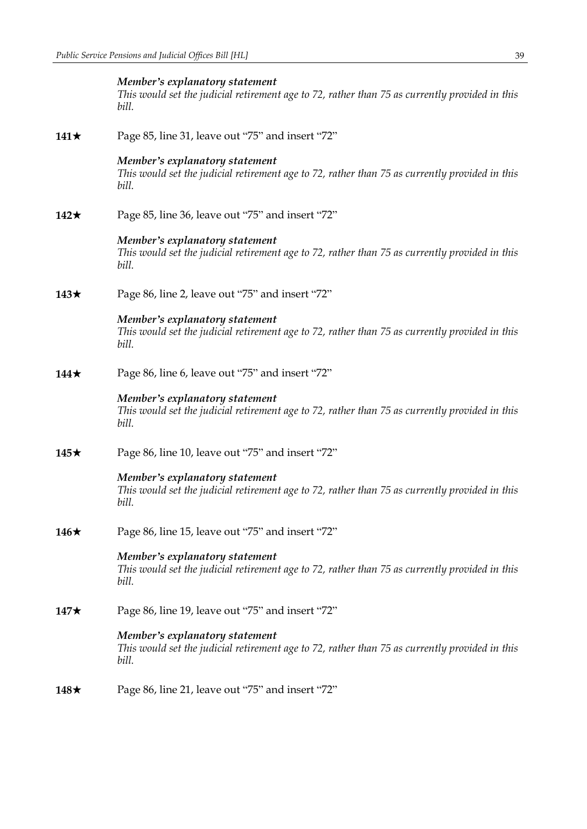|             | Member's explanatory statement<br>This would set the judicial retirement age to 72, rather than 75 as currently provided in this<br>bill. |
|-------------|-------------------------------------------------------------------------------------------------------------------------------------------|
| 141 $\star$ | Page 85, line 31, leave out "75" and insert "72"                                                                                          |
|             | Member's explanatory statement<br>This would set the judicial retirement age to 72, rather than 75 as currently provided in this<br>bill. |
| 142 $\star$ | Page 85, line 36, leave out "75" and insert "72"                                                                                          |
|             | Member's explanatory statement<br>This would set the judicial retirement age to 72, rather than 75 as currently provided in this<br>bill. |
| 143 $\star$ | Page 86, line 2, leave out "75" and insert "72"                                                                                           |
|             | Member's explanatory statement<br>This would set the judicial retirement age to 72, rather than 75 as currently provided in this<br>bill. |
| 144 $\star$ | Page 86, line 6, leave out "75" and insert "72"                                                                                           |
|             | Member's explanatory statement<br>This would set the judicial retirement age to 72, rather than 75 as currently provided in this<br>bill. |
| 145 $\star$ | Page 86, line 10, leave out "75" and insert "72"                                                                                          |
|             | Member's explanatory statement<br>This would set the judicial retirement age to 72, rather than 75 as currently provided in this<br>bill. |
| 146 $\star$ | Page 86, line 15, leave out "75" and insert "72"                                                                                          |
|             | Member's explanatory statement<br>This would set the judicial retirement age to 72, rather than 75 as currently provided in this<br>bill. |
| 147 $\star$ | Page 86, line 19, leave out "75" and insert "72"                                                                                          |
|             | Member's explanatory statement<br>This would set the judicial retirement age to 72, rather than 75 as currently provided in this<br>bill. |
| 148 $\star$ | Page 86, line 21, leave out "75" and insert "72"                                                                                          |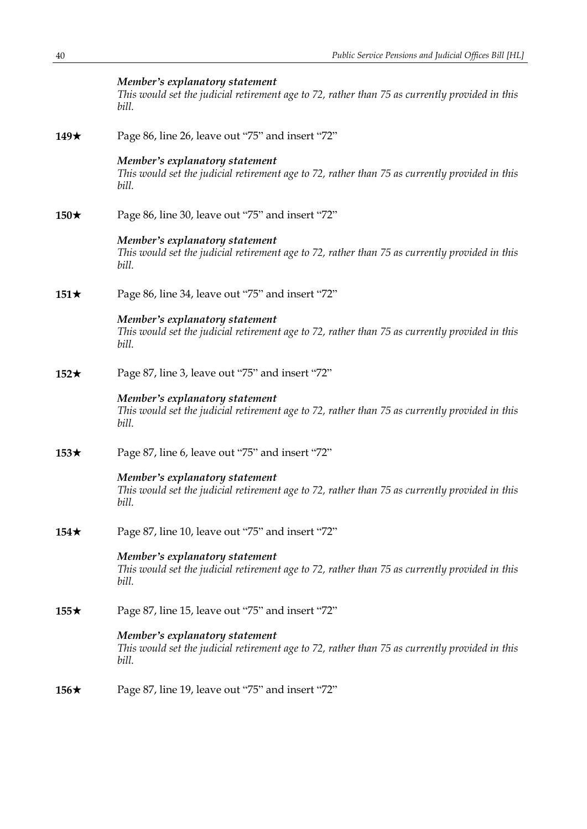|             | Member's explanatory statement<br>This would set the judicial retirement age to 72, rather than 75 as currently provided in this<br>bill. |
|-------------|-------------------------------------------------------------------------------------------------------------------------------------------|
| 149 $\star$ | Page 86, line 26, leave out "75" and insert "72"                                                                                          |
|             | Member's explanatory statement<br>This would set the judicial retirement age to 72, rather than 75 as currently provided in this<br>bill. |
| $150\star$  | Page 86, line 30, leave out "75" and insert "72"                                                                                          |
|             | Member's explanatory statement<br>This would set the judicial retirement age to 72, rather than 75 as currently provided in this<br>bill. |
| $151\star$  | Page 86, line 34, leave out "75" and insert "72"                                                                                          |
|             | Member's explanatory statement<br>This would set the judicial retirement age to 72, rather than 75 as currently provided in this<br>bill. |
| $152\star$  | Page 87, line 3, leave out "75" and insert "72"                                                                                           |
|             | Member's explanatory statement<br>This would set the judicial retirement age to 72, rather than 75 as currently provided in this<br>bill. |
| $153\star$  | Page 87, line 6, leave out "75" and insert "72"                                                                                           |
|             | Member's explanatory statement<br>This would set the judicial retirement age to 72, rather than 75 as currently provided in this<br>bill. |
| $154\star$  | Page 87, line 10, leave out "75" and insert "72"                                                                                          |
|             | Member's explanatory statement<br>This would set the judicial retirement age to 72, rather than 75 as currently provided in this<br>bill. |
| $155\star$  | Page 87, line 15, leave out "75" and insert "72"                                                                                          |
|             | Member's explanatory statement<br>This would set the judicial retirement age to 72, rather than 75 as currently provided in this<br>bill. |
| $156\star$  | Page 87, line 19, leave out "75" and insert "72"                                                                                          |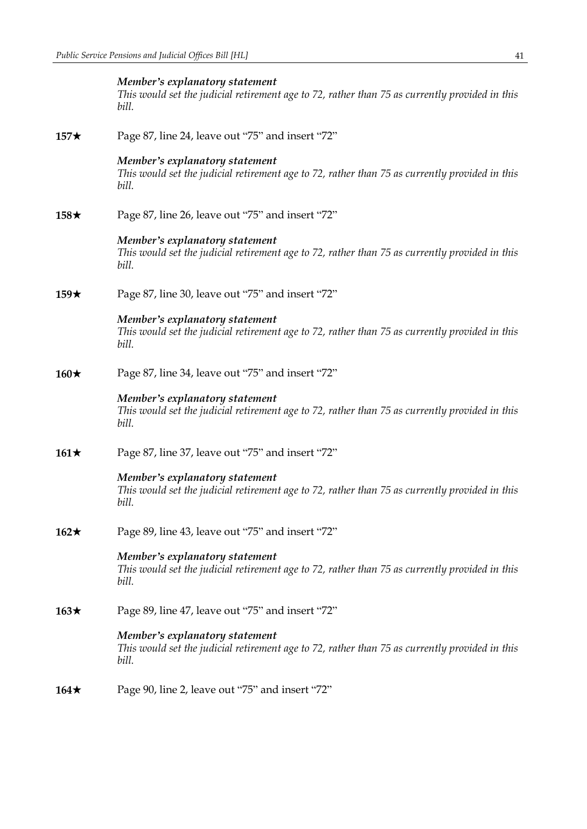|            | Member's explanatory statement<br>This would set the judicial retirement age to 72, rather than 75 as currently provided in this<br>bill. |
|------------|-------------------------------------------------------------------------------------------------------------------------------------------|
| $157\star$ | Page 87, line 24, leave out "75" and insert "72"                                                                                          |
|            | Member's explanatory statement<br>This would set the judicial retirement age to 72, rather than 75 as currently provided in this<br>bill. |
| $158\star$ | Page 87, line 26, leave out "75" and insert "72"                                                                                          |
|            | Member's explanatory statement<br>This would set the judicial retirement age to 72, rather than 75 as currently provided in this<br>bill. |
| $159\star$ | Page 87, line 30, leave out "75" and insert "72"                                                                                          |
|            | Member's explanatory statement<br>This would set the judicial retirement age to 72, rather than 75 as currently provided in this<br>bill. |
| $160\star$ | Page 87, line 34, leave out "75" and insert "72"                                                                                          |
|            | Member's explanatory statement<br>This would set the judicial retirement age to 72, rather than 75 as currently provided in this<br>bill. |
| $161\star$ | Page 87, line 37, leave out "75" and insert "72"                                                                                          |
|            | Member's explanatory statement<br>This would set the judicial retirement age to 72, rather than 75 as currently provided in this<br>bill. |
| $162\star$ | Page 89, line 43, leave out "75" and insert "72"                                                                                          |
|            | Member's explanatory statement<br>This would set the judicial retirement age to 72, rather than 75 as currently provided in this<br>bill. |
| $163\star$ | Page 89, line 47, leave out "75" and insert "72"                                                                                          |
|            | Member's explanatory statement<br>This would set the judicial retirement age to 72, rather than 75 as currently provided in this<br>bill. |
| $164\star$ | Page 90, line 2, leave out "75" and insert "72"                                                                                           |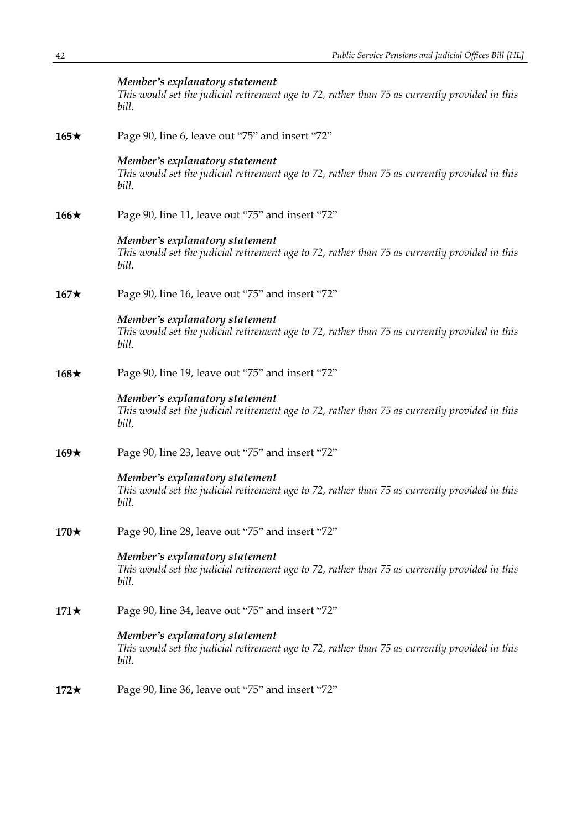|             | Member's explanatory statement<br>This would set the judicial retirement age to 72, rather than 75 as currently provided in this<br>bill. |
|-------------|-------------------------------------------------------------------------------------------------------------------------------------------|
| $165\star$  | Page 90, line 6, leave out "75" and insert "72"                                                                                           |
|             | Member's explanatory statement<br>This would set the judicial retirement age to 72, rather than 75 as currently provided in this<br>bill. |
| 166 $\star$ | Page 90, line 11, leave out "75" and insert "72"                                                                                          |
|             | Member's explanatory statement<br>This would set the judicial retirement age to 72, rather than 75 as currently provided in this<br>bill. |
| $167\star$  | Page 90, line 16, leave out "75" and insert "72"                                                                                          |
|             | Member's explanatory statement<br>This would set the judicial retirement age to 72, rather than 75 as currently provided in this<br>bill. |
| $168\star$  | Page 90, line 19, leave out "75" and insert "72"                                                                                          |
|             | Member's explanatory statement<br>This would set the judicial retirement age to 72, rather than 75 as currently provided in this<br>bill. |
| $169\star$  | Page 90, line 23, leave out "75" and insert "72"                                                                                          |
|             | Member's explanatory statement<br>This would set the judicial retirement age to 72, rather than 75 as currently provided in this<br>bill. |
| $170\star$  | Page 90, line 28, leave out "75" and insert "72"                                                                                          |
|             | Member's explanatory statement<br>This would set the judicial retirement age to 72, rather than 75 as currently provided in this<br>bill. |
| $171\star$  | Page 90, line 34, leave out "75" and insert "72"                                                                                          |
|             | Member's explanatory statement<br>This would set the judicial retirement age to 72, rather than 75 as currently provided in this<br>bill. |
| $172\star$  | Page 90, line 36, leave out "75" and insert "72"                                                                                          |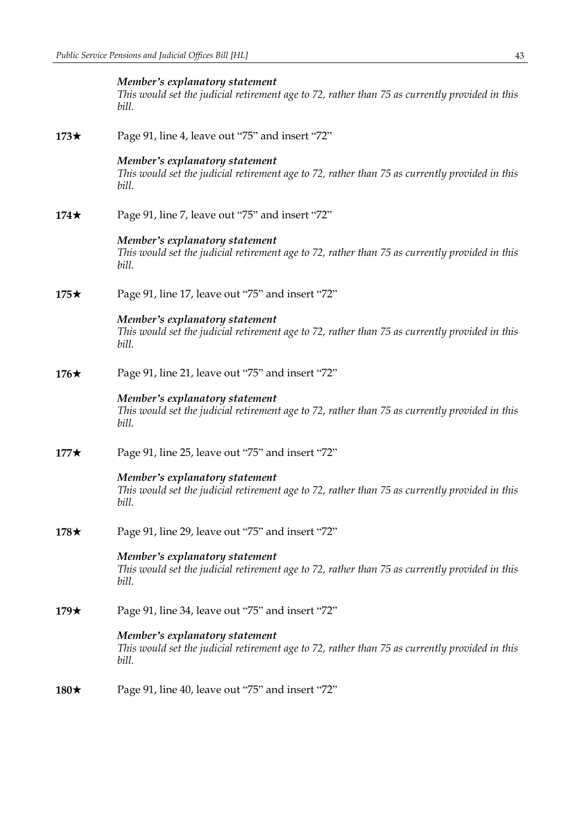|            | Member's explanatory statement<br>This would set the judicial retirement age to 72, rather than 75 as currently provided in this<br>bill. |
|------------|-------------------------------------------------------------------------------------------------------------------------------------------|
| $173\star$ | Page 91, line 4, leave out "75" and insert "72"                                                                                           |
|            | Member's explanatory statement<br>This would set the judicial retirement age to 72, rather than 75 as currently provided in this<br>bill. |
| $174\star$ | Page 91, line 7, leave out "75" and insert "72"                                                                                           |
|            | Member's explanatory statement<br>This would set the judicial retirement age to 72, rather than 75 as currently provided in this<br>bill. |
| $175\star$ | Page 91, line 17, leave out "75" and insert "72"                                                                                          |
|            | Member's explanatory statement<br>This would set the judicial retirement age to 72, rather than 75 as currently provided in this<br>bill. |
| $176\star$ | Page 91, line 21, leave out "75" and insert "72"                                                                                          |
|            | Member's explanatory statement<br>This would set the judicial retirement age to 72, rather than 75 as currently provided in this<br>bill. |
| $177\star$ | Page 91, line 25, leave out "75" and insert "72"                                                                                          |
|            | Member's explanatory statement<br>This would set the judicial retirement age to 72, rather than 75 as currently provided in this<br>bill. |
| $178\star$ | Page 91, line 29, leave out "75" and insert "72"                                                                                          |
|            | Member's explanatory statement<br>This would set the judicial retirement age to 72, rather than 75 as currently provided in this<br>bill. |
| $179\star$ | Page 91, line 34, leave out "75" and insert "72"                                                                                          |
|            | Member's explanatory statement<br>This would set the judicial retirement age to 72, rather than 75 as currently provided in this<br>bill. |
| $180\star$ | Page 91, line 40, leave out "75" and insert "72"                                                                                          |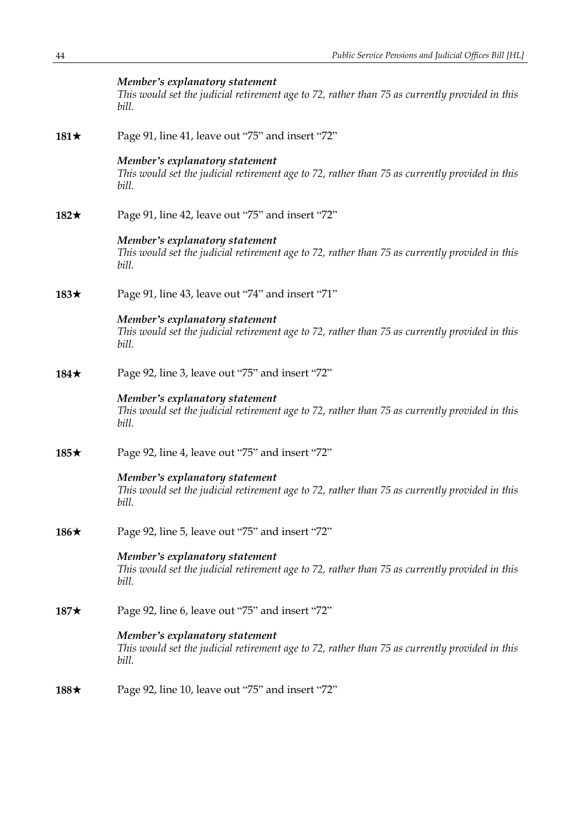|             | Member's explanatory statement<br>This would set the judicial retirement age to 72, rather than 75 as currently provided in this<br>bill. |
|-------------|-------------------------------------------------------------------------------------------------------------------------------------------|
| 181 $\star$ | Page 91, line 41, leave out "75" and insert "72"                                                                                          |
|             | Member's explanatory statement<br>This would set the judicial retirement age to 72, rather than 75 as currently provided in this<br>bill. |
| $182\star$  | Page 91, line 42, leave out "75" and insert "72"                                                                                          |
|             | Member's explanatory statement<br>This would set the judicial retirement age to 72, rather than 75 as currently provided in this<br>bill. |
| $183\star$  | Page 91, line 43, leave out "74" and insert "71"                                                                                          |
|             | Member's explanatory statement<br>This would set the judicial retirement age to 72, rather than 75 as currently provided in this<br>bill. |
| $184\star$  | Page 92, line 3, leave out "75" and insert "72"                                                                                           |
|             | Member's explanatory statement<br>This would set the judicial retirement age to 72, rather than 75 as currently provided in this<br>bill. |
| $185\star$  | Page 92, line 4, leave out "75" and insert "72"                                                                                           |
|             | Member's explanatory statement<br>This would set the judicial retirement age to 72, rather than 75 as currently provided in this<br>bill. |
| 186 $\star$ | Page 92, line 5, leave out "75" and insert "72"                                                                                           |
|             | Member's explanatory statement<br>This would set the judicial retirement age to 72, rather than 75 as currently provided in this<br>bill. |
| $187\star$  | Page 92, line 6, leave out "75" and insert "72"                                                                                           |
|             | Member's explanatory statement<br>This would set the judicial retirement age to 72, rather than 75 as currently provided in this<br>bill. |
| $188\star$  | Page 92, line 10, leave out "75" and insert "72"                                                                                          |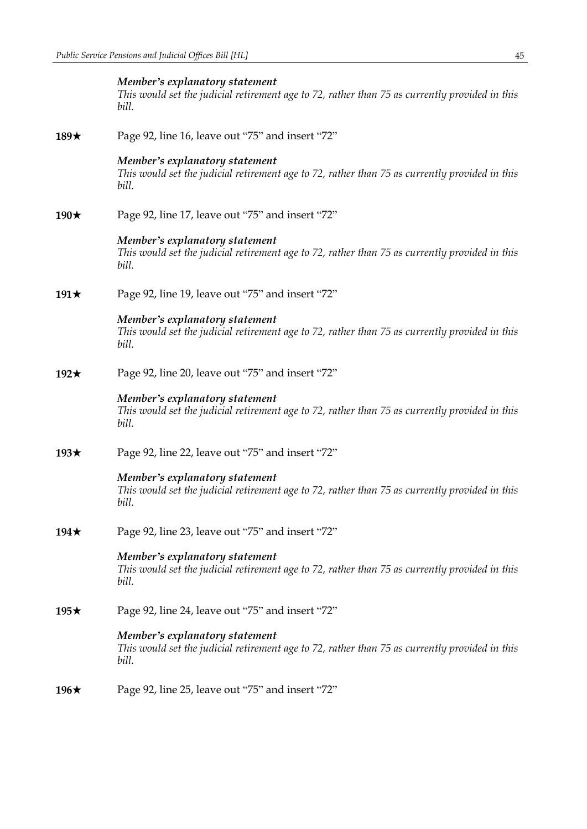|             | Member's explanatory statement<br>This would set the judicial retirement age to 72, rather than 75 as currently provided in this<br>bill. |
|-------------|-------------------------------------------------------------------------------------------------------------------------------------------|
| 189 $\star$ | Page 92, line 16, leave out "75" and insert "72"                                                                                          |
|             | Member's explanatory statement<br>This would set the judicial retirement age to 72, rather than 75 as currently provided in this<br>bill. |
| 190 $\star$ | Page 92, line 17, leave out "75" and insert "72"                                                                                          |
|             | Member's explanatory statement<br>This would set the judicial retirement age to 72, rather than 75 as currently provided in this<br>bill. |
| 191 $\star$ | Page 92, line 19, leave out "75" and insert "72"                                                                                          |
|             | Member's explanatory statement<br>This would set the judicial retirement age to 72, rather than 75 as currently provided in this<br>bill. |
| 192 $\star$ | Page 92, line 20, leave out "75" and insert "72"                                                                                          |
|             | Member's explanatory statement<br>This would set the judicial retirement age to 72, rather than 75 as currently provided in this<br>bill. |
| 193 $\star$ | Page 92, line 22, leave out "75" and insert "72"                                                                                          |
|             | Member's explanatory statement<br>This would set the judicial retirement age to 72, rather than 75 as currently provided in this<br>bill. |
| 194 $\star$ | Page 92, line 23, leave out "75" and insert "72"                                                                                          |
|             | Member's explanatory statement<br>This would set the judicial retirement age to 72, rather than 75 as currently provided in this<br>bill. |
| 195 $\star$ | Page 92, line 24, leave out "75" and insert "72"                                                                                          |
|             | Member's explanatory statement<br>This would set the judicial retirement age to 72, rather than 75 as currently provided in this<br>bill. |
| 196 $\star$ | Page 92, line 25, leave out "75" and insert "72"                                                                                          |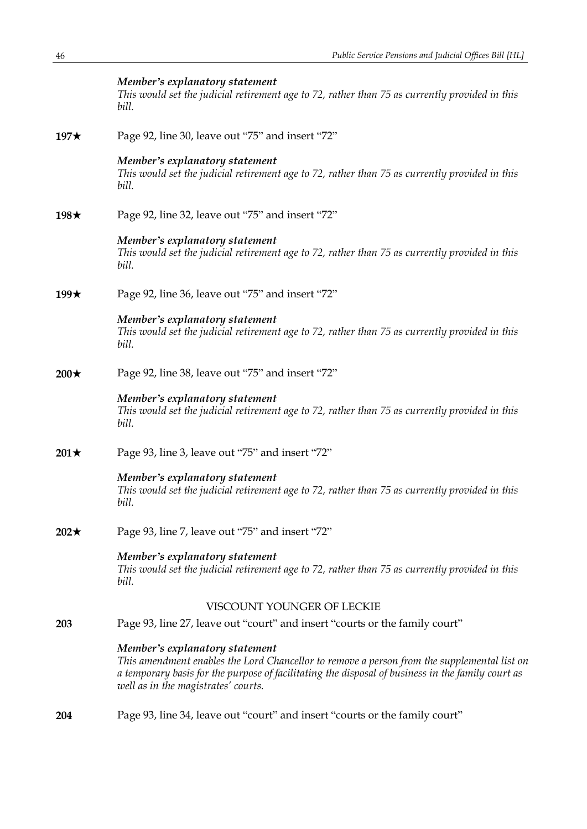|             | Member's explanatory statement<br>This would set the judicial retirement age to 72, rather than 75 as currently provided in this<br>bill.                                                                                                                                 |
|-------------|---------------------------------------------------------------------------------------------------------------------------------------------------------------------------------------------------------------------------------------------------------------------------|
| 197 $\star$ | Page 92, line 30, leave out "75" and insert "72"                                                                                                                                                                                                                          |
|             | Member's explanatory statement<br>This would set the judicial retirement age to 72, rather than 75 as currently provided in this<br>bill.                                                                                                                                 |
| 198 $\star$ | Page 92, line 32, leave out "75" and insert "72"                                                                                                                                                                                                                          |
|             | Member's explanatory statement<br>This would set the judicial retirement age to 72, rather than 75 as currently provided in this<br>bill.                                                                                                                                 |
| 199 $\star$ | Page 92, line 36, leave out "75" and insert "72"                                                                                                                                                                                                                          |
|             | Member's explanatory statement<br>This would set the judicial retirement age to 72, rather than 75 as currently provided in this<br>bill.                                                                                                                                 |
| $200\star$  | Page 92, line 38, leave out "75" and insert "72"                                                                                                                                                                                                                          |
|             | Member's explanatory statement<br>This would set the judicial retirement age to 72, rather than 75 as currently provided in this<br>bill.                                                                                                                                 |
| $201\star$  | Page 93, line 3, leave out "75" and insert "72"                                                                                                                                                                                                                           |
|             | Member's explanatory statement<br>This would set the judicial retirement age to 72, rather than 75 as currently provided in this<br>bill.                                                                                                                                 |
| $202\star$  | Page 93, line 7, leave out "75" and insert "72"                                                                                                                                                                                                                           |
|             | Member's explanatory statement<br>This would set the judicial retirement age to 72, rather than 75 as currently provided in this<br>bill.                                                                                                                                 |
|             | VISCOUNT YOUNGER OF LECKIE                                                                                                                                                                                                                                                |
| 203         | Page 93, line 27, leave out "court" and insert "courts or the family court"                                                                                                                                                                                               |
|             | Member's explanatory statement<br>This amendment enables the Lord Chancellor to remove a person from the supplemental list on<br>a temporary basis for the purpose of facilitating the disposal of business in the family court as<br>well as in the magistrates' courts. |
|             |                                                                                                                                                                                                                                                                           |

**204** Page 93, line 34, leave out "court" and insert "courts or the family court"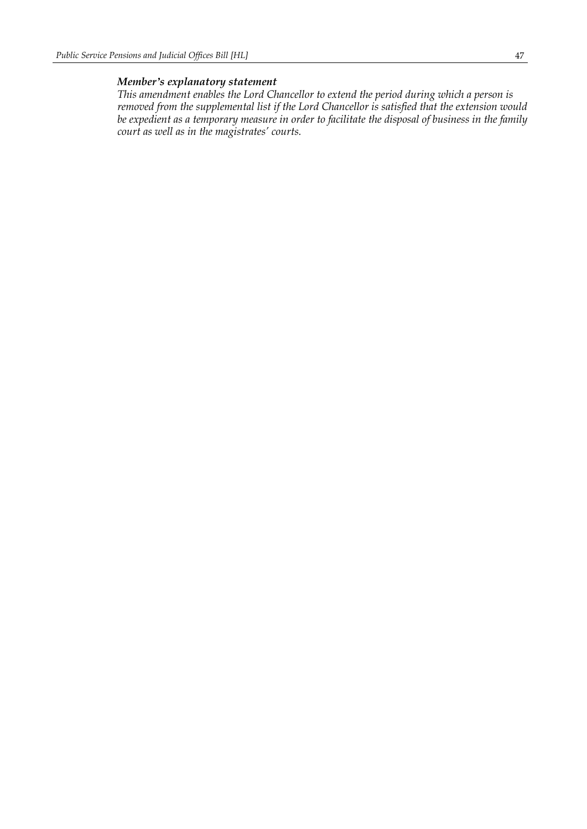*This amendment enables the Lord Chancellor to extend the period during which a person is removed from the supplemental list if the Lord Chancellor is satisfied that the extension would be expedient as a temporary measure in order to facilitate the disposal of business in the family court as well as in the magistrates' courts.*